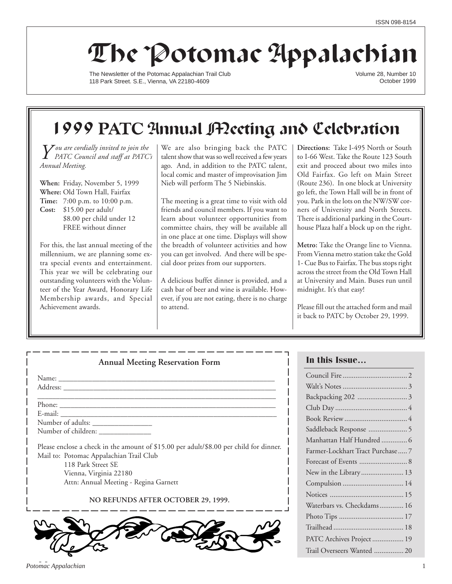# The Potomac Appalachian

The Newsletter of the Potomac Appalachian Trail Club 118 Park Street. S.E., Vienna, VA 22180-4609

Volume 28, Number 10 October 1999

## 1999 **PATC** Annual Meeting and Celebration

*Y ou are cordially invited to join the PATC Council and staff at PATC's Annual Meeting.*

**When:** Friday, November 5, 1999 **Where:** Old Town Hall, Fairfax **Time:** 7:00 p.m. to 10:00 p.m. **Cost:** \$15.00 per adult/ \$8.00 per child under 12 FREE without dinner

For this, the last annual meeting of the millennium, we are planning some extra special events and entertainment. This year we will be celebrating our outstanding volunteers with the Volunteer of the Year Award, Honorary Life Membership awards, and Special Achievement awards.

We are also bringing back the PATC talent show that was so well received a few years ago. And, in addition to the PATC talent, local comic and master of improvisation Jim Nieb will perform The 5 Niebinskis.

The meeting is a great time to visit with old friends and council members. If you want to learn about volunteer opportunities from committee chairs, they will be available all in one place at one time. Displays will show the breadth of volunteer activities and how you can get involved. And there will be special door prizes from our supporters.

A delicious buffet dinner is provided, and a cash bar of beer and wine is available. However, if you are not eating, there is no charge to attend.

**Directions:** Take I-495 North or South to I-66 West. Take the Route 123 South exit and proceed about two miles into Old Fairfax. Go left on Main Street (Route 236). In one block at University go left, the Town Hall will be in front of you. Park in the lots on the NW/SW corners of University and North Streets. There is additional parking in the Courthouse Plaza half a block up on the right.

**Metro:** Take the Orange line to Vienna. From Vienna metro station take the Gold 1- Cue Bus to Fairfax. The bus stops right across the street from the Old Town Hall at University and Main. Buses run until midnight. It's that easy!

Please fill out the attached form and mail it back to PATC by October 29, 1999.

| <b>Annual Meeting Reservation Form</b>                                                 |
|----------------------------------------------------------------------------------------|
|                                                                                        |
|                                                                                        |
|                                                                                        |
|                                                                                        |
|                                                                                        |
|                                                                                        |
| Please enclose a check in the amount of \$15.00 per adult/\$8.00 per child for dinner. |
| Mail to: Potomac Appalachian Trail Club                                                |
| 118 Park Street SE                                                                     |
| Vienna, Virginia 22180                                                                 |
| Attn: Annual Meeting - Regina Garnett                                                  |

## **NO REFUNDS AFTER OCTOBER 29, 1999.**



## **In this Issue…**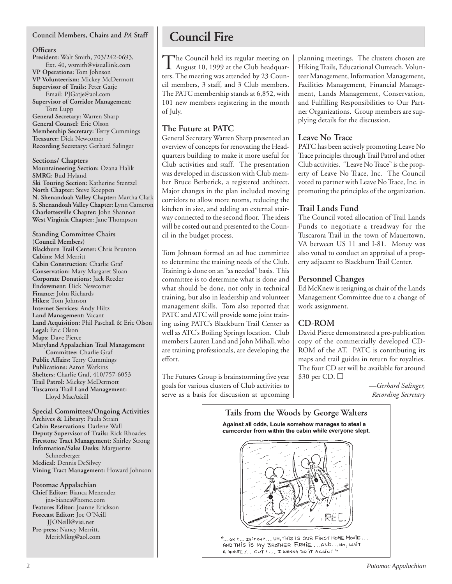## **Council Members, Chairs and** *PA* **Staff**

## **Officers**

**President:** Walt Smith, 703/242-0693, Ext. 40, wsmith@visuallink.com **VP Operations:** Tom Johnson **VP Volunteerism:** Mickey McDermott **Supervisor of Trails:** Peter Gatje Email: PJGatje@aol.com **Supervisor of Corridor Management:** Tom Lupp **General Secretary:** Warren Sharp **General Counsel:** Eric Olson

**Membership Secretary:** Terry Cummings **Treasurer:** Dick Newcomer **Recording Secretary:** Gerhard Salinger

**Sections/ Chapters Mountaineering Section:** Ozana Halik **SMRG**: Bud Hyland **Ski Touring Section:** Katherine Stentzel **North Chapter:** Steve Koeppen **N. Shenandoah Valley Chapter:** Martha Clark **S. Shenandoah Valley Chapter:** Lynn Cameron **Charlottesville Chapter:** John Shannon **West Virginia Chapter:** Jane Thompson

**Standing Committee Chairs (Council Members) Blackburn Trail Center:** Chris Brunton **Cabins:** Mel Merritt **Cabin Construction:** Charlie Graf **Conservation:** Mary Margaret Sloan **Corporate Donations:** Jack Reeder **Endowment:** Dick Newcomer **Finance:** John Richards **Hikes:** Tom Johnson **Internet Services:** Andy Hiltz **Land Management:** Vacant **Land Acquisition:** Phil Paschall & Eric Olson **Legal:** Eric Olson **Maps:** Dave Pierce **Maryland Appalachian Trail Management Committee:** Charlie Graf **Public Affairs:** Terry Cummings **Publications:** Aaron Watkins **Shelters:** Charlie Graf, 410/757-6053 **Trail Patrol:** Mickey McDermott **Tuscarora Trail Land Management:** Lloyd MacAskill

**Special Committees/Ongoing Activities Archives & Library:** Paula Strain **Cabin Reservations:** Darlene Wall **Deputy Supervisor of Trails:** Rick Rhoades **Firestone Tract Management:** Shirley Strong **Information/Sales Desks:** Marguerite Schneeberger **Medical:** Dennis DeSilvey **Vining Tract Management:** Howard Johnson

**Potomac Appalachian Chief Editor:** Bianca Menendez jns-bianca@home.com **Features Editor:** Joanne Erickson **Forecast Editor:** Joe O'Neill JJONeill@visi.net **Pre-press:** Nancy Merritt, MeritMktg@aol.com

## **Council Fire**

The Council held its regular meeting on<br>August 10, 1999 at the Club headquarters. The meeting was attended by 23 Council members, 3 staff, and 3 Club members. The PATC membership stands at 6,852, with 101 new members registering in the month of July.

## **The Future at PATC**

General Secretary Warren Sharp presented an overview of concepts for renovating the Headquarters building to make it more useful for Club activities and staff. The presentation was developed in discussion with Club member Bruce Berberick, a registered architect. Major changes in the plan included moving corridors to allow more rooms, reducing the kitchen in size, and adding an external stairway connected to the second floor. The ideas will be costed out and presented to the Council in the budget process.

Tom Johnson formed an ad hoc committee to determine the training needs of the Club. Training is done on an "as needed" basis. This committee is to determine what is done and what should be done, not only in technical training, but also in leadership and volunteer management skills. Tom also reported that PATC and ATC will provide some joint training using PATC's Blackburn Trail Center as well as ATC's Boiling Springs location. Club members Lauren Land and John Mihall, who are training professionals, are developing the effort.

The Futures Group is brainstorming five year goals for various clusters of Club activities to serve as a basis for discussion at upcoming planning meetings. The clusters chosen are Hiking Trails, Educational Outreach, Volunteer Management, Information Management, Facilities Management, Financial Management, Lands Management, Conservation, and Fulfilling Responsibilities to Our Partner Organizations. Group members are supplying details for the discussion.

## **Leave No Trace**

PATC has been actively promoting Leave No Trace principles through Trail Patrol and other Club activities. "Leave No Trace" is the property of Leave No Trace, Inc. The Council voted to partner with Leave No Trace, Inc. in promoting the principles of the organization.

## **Trail Lands Fund**

The Council voted allocation of Trail Lands Funds to negotiate a treadway for the Tuscarora Trail in the town of Mauertown, VA between US 11 and I-81. Money was also voted to conduct an appraisal of a property adjacent to Blackburn Trail Center.

## **Personnel Changes**

Ed McKnew is resigning as chair of the Lands Management Committee due to a change of work assignment.

## **CD-ROM**

David Pierce demonstrated a pre-publication copy of the commercially developed CD-ROM of the AT. PATC is contributing its maps and trail guides in return for royalties. The four CD set will be available for around \$30 per CD. ❑

> *—Gerhard Salinger, Recording Secretary*

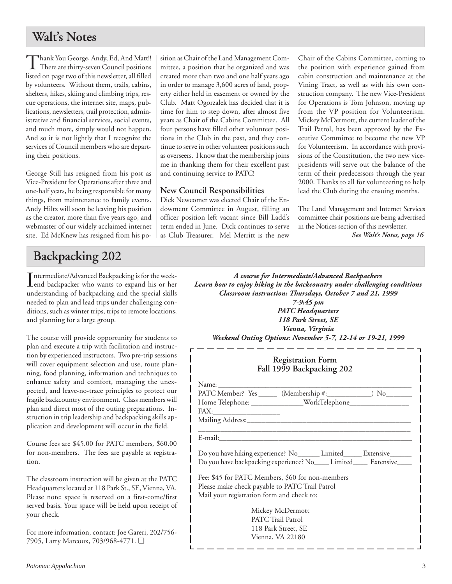## **Walt's Notes**

Thank You George, Andy, Ed, And Matt!! There are thirty-seven Council positions listed on page two of this newsletter, all filled by volunteers. Without them, trails, cabins, shelters, hikes, skiing and climbing trips, rescue operations, the internet site, maps, publications, newsletters, trail protection, administrative and financial services, social events, and much more, simply would not happen. And so it is not lightly that I recognize the services of Council members who are departing their positions.

George Still has resigned from his post as Vice-President for Operations after three and one-half years, he being responsible for many things, from maintenance to family events. Andy Hiltz will soon be leaving his position as the creator, more than five years ago, and webmaster of our widely acclaimed internet site. Ed McKnew has resigned from his po-

## **Backpacking 202**

Intermediate/Advanced Backpacking is for the week-<br>
end backpacker who wants to expand his or her end backpacker who wants to expand his or her understanding of backpacking and the special skills needed to plan and lead trips under challenging conditions, such as winter trips, trips to remote locations, and planning for a large group.

The course will provide opportunity for students to plan and execute a trip with facilitation and instruction by experienced instructors. Two pre-trip sessions will cover equipment selection and use, route planning, food planning, information and techniques to enhance safety and comfort, managing the unexpected, and leave-no-trace principles to protect our fragile backcountry environment. Class members will plan and direct most of the outing preparations. Instruction in trip leadership and backpacking skills application and development will occur in the field.

Course fees are \$45.00 for PATC members, \$60.00 for non-members. The fees are payable at registration.

The classroom instruction will be given at the PATC Headquarters located at 118 Park St., SE, Vienna, VA. Please note: space is reserved on a first-come/first served basis. Your space will be held upon receipt of your check.

For more information, contact: Joe Gareri, 202/756- 7905, Larry Marcoux, 703/968-4771. ❑

sition as Chair of the Land Management Committee, a position that he organized and was created more than two and one half years ago in order to manage 3,600 acres of land, property either held in easement or owned by the Club. Matt Ogorzalek has decided that it is time for him to step down, after almost five years as Chair of the Cabins Committee. All four persons have filled other volunteer positions in the Club in the past, and they continue to serve in other volunteer positions such as overseers. I know that the membership joins me in thanking them for their excellent past and continuing service to PATC!

## **New Council Responsibilities**

Dick Newcomer was elected Chair of the Endowment Committee in August, filling an officer position left vacant since Bill Ladd's term ended in June. Dick continues to serve as Club Treasurer. Mel Merritt is the new Chair of the Cabins Committee, coming to the position with experience gained from cabin construction and maintenance at the Vining Tract, as well as with his own construction company. The new Vice-President for Operations is Tom Johnson, moving up from the VP position for Volunteerism. Mickey McDermott, the current leader of the Trail Patrol, has been approved by the Executive Committee to become the new VP for Volunteerism. In accordance with provisions of the Constitution, the two new vicepresidents will serve out the balance of the term of their predecessors through the year 2000. Thanks to all for volunteering to help lead the Club during the ensuing months.

The Land Management and Internet Services committee chair positions are being advertised in the Notices section of this newsletter.

*See Walt's Notes, page 16*

*A course for Intermediate/Advanced Backpackers Learn how to enjoy hiking in the backcountry under challenging conditions Classroom instruction: Thursdays, October 7 and 21, 1999 7-9:45 pm PATC Headquarters 118 Park Street, SE*

*Vienna, Virginia*

| Weekend Outing Options: November 5-7, 12-14 or 19-21, 1999 |  |  |  |
|------------------------------------------------------------|--|--|--|

| <b>Registration Form</b><br>Fall 1999 Backpacking 202                                                                                           |
|-------------------------------------------------------------------------------------------------------------------------------------------------|
|                                                                                                                                                 |
| Do you have hiking experience? No_______ Limited______ Extensive_______<br>Do you have backpacking experience? No____ Limited____ Extensive____ |
| Fee: \$45 for PATC Members, \$60 for non-members<br>Please make check payable to PATC Trail Patrol<br>Mail your registration form and check to: |
| Mickey McDermott<br><b>PATC Trail Patrol</b><br>118 Park Street, SE<br>Vienna. VA 22180                                                         |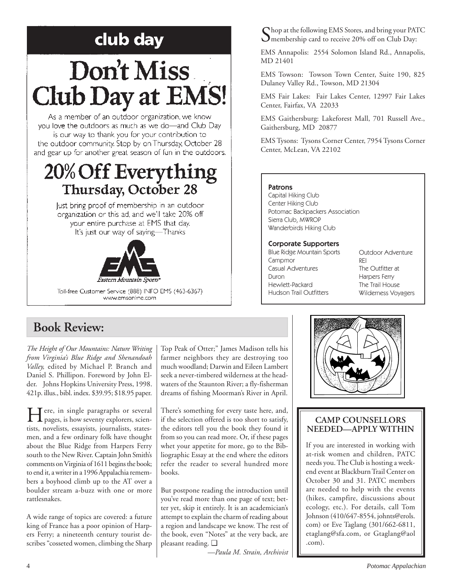# club day

# Don't Miss **Club Day at EMS!**

As a member of an outdoor organization, we know you love the outdoors as much as we do-and Club Day is our way to thank you for your contribution to the outdoor community. Stop by on Thursday, October 28 and gear up for another great season of fun in the outdoors.

## 20% Off Everything **Thursday, October 28**

Just bring proof of membership in an outdoor organization or this ad, and we'll take 20% off your entire purchase at EMS that day. It's just our way of saying-Thanks



Toll-free Customer Service (888) INFO EMS (463-6367) www.emsonline.com

## **Book Review:**

*The Height of Our Mountains: Nature Writing from Virginia's Blue Ridge and Shenandoah Valley,* edited by Michael P. Branch and Daniel S. Phillipon. Foreword by John Elder. Johns Hopkins University Press, 1998. 421p. illus., bibl. index. \$39.95; \$18.95 paper.

Here, in single paragraphs or several pages, is how seventy explorers, scientists, novelists, essayists, journalists, statesmen, and a few ordinary folk have thought about the Blue Ridge from Harpers Ferry south to the New River. Captain John Smith's comments on Virginia of 1611 begins the book; to end it, a writer in a 1996 Appalachia remembers a boyhood climb up to the AT over a boulder stream a-buzz with one or more rattlesnakes.

A wide range of topics are covered: a future king of France has a poor opinion of Harpers Ferry; a nineteenth century tourist describes "cosseted women, climbing the Sharp Top Peak of Otter;" James Madison tells his farmer neighbors they are destroying too much woodland; Darwin and Eileen Lambert seek a never-timbered wilderness at the headwaters of the Staunton River; a fly-fisherman dreams of fishing Moorman's River in April.

There's something for every taste here, and, if the selection offered is too short to satisfy, the editors tell you the book they found it from so you can read more. Or, if these pages whet your appetite for more, go to the Bibliographic Essay at the end where the editors refer the reader to several hundred more books.

But postpone reading the introduction until you've read more than one page of text; better yet, skip it entirely. It is an academician's attempt to explain the charm of reading about a region and landscape we know. The rest of the book, even "Notes" at the very back, are pleasant reading. ❑

*—Paula M. Strain, Archivist*

 $\bigcap$  hop at the following EMS Stores, and bring your PATC **O** membership card to receive 20% off on Club Day:

EMS Annapolis: 2554 Solomon Island Rd., Annapolis, MD 21401

EMS Towson: Towson Town Center, Suite 190, 825 Dulaney Valley Rd., Towson, MD 21304

EMS Fair Lakes: Fair Lakes Center, 12997 Fair Lakes Center, Fairfax, VA 22033

EMS Gaithersburg: Lakeforest Mall, 701 Russell Ave., Gaithersburg, MD 20877

EMS Tysons: Tysons Corner Center, 7954 Tysons Corner Center, McLean, VA 22102

## Patrons

Capital Hiking Club Center Hiking Club Potomac Backpackers Association Sierra Club, MWROP Wanderbirds Hiking Club

## Corporate Supporters

Blue Ridge Mountain Sports Campmor Casual Adventures Duron Hewlett-Packard Hudson Trail Outfitters

Outdoor Adventure REI The Outfitter at Harpers Ferry The Trail House Wilderness Voyagers



## **CAMP COUNSELLORS NEEDED—APPLY WITHIN**

If you are interested in working with at-risk women and children, PATC needs you. The Club is hosting a weekend event at Blackburn Trail Center on October 30 and 31. PATC members are needed to help with the events (hikes, campfire, discussions about ecology, etc.). For details, call Tom Johnson (410/647-8554, johnts@erols. com) or Eve Taglang (301/662-6811, etaglang@sfa.com, or Gtaglang@aol .com).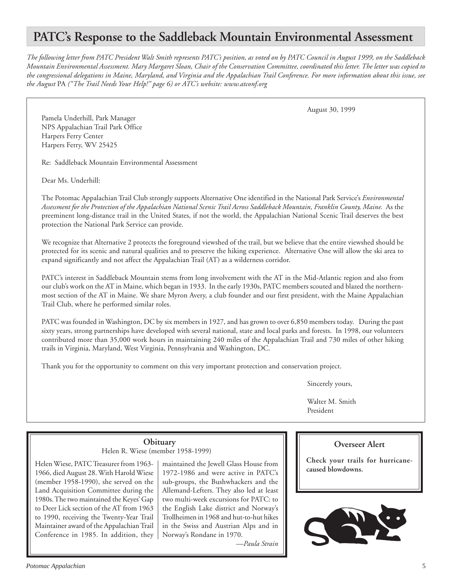## **PATC's Response to the Saddleback Mountain Environmental Assessment**

*The following letter from PATC President Walt Smith represents PATC's position, as voted on by PATC Council in August 1999, on the Saddleback Mountain Environmental Assessment. Mary Margaret Sloan, Chair of the Conservation Committee, coordinated this letter. The letter was copied to the congressional delegations in Maine, Maryland, and Virginia and the Appalachian Trail Conference. For more information about this issue, see the August* PA *("The Trail Needs Your Help!" page 6) or ATC's website: www.atconf.org*

August 30, 1999

Pamela Underhill, Park Manager NPS Appalachian Trail Park Office Harpers Ferry Center Harpers Ferry, WV 25425

Re: Saddleback Mountain Environmental Assessment

Dear Ms. Underhill:

The Potomac Appalachian Trail Club strongly supports Alternative One identified in the National Park Service's *Environmental Assessment for the Protection of the Appalachian National Scenic Trail Across Saddleback Mountain, Franklin County, Maine.* As the preeminent long-distance trail in the United States, if not the world, the Appalachian National Scenic Trail deserves the best protection the National Park Service can provide.

We recognize that Alternative 2 protects the foreground viewshed of the trail, but we believe that the entire viewshed should be protected for its scenic and natural qualities and to preserve the hiking experience. Alternative One will allow the ski area to expand significantly and not affect the Appalachian Trail (AT) as a wilderness corridor.

PATC's interest in Saddleback Mountain stems from long involvement with the AT in the Mid-Atlantic region and also from our club's work on the AT in Maine, which began in 1933. In the early 1930s, PATC members scouted and blazed the northernmost section of the AT in Maine. We share Myron Avery, a club founder and our first president, with the Maine Appalachian Trail Club, where he performed similar roles.

PATC was founded in Washington, DC by six members in 1927, and has grown to over 6,850 members today. During the past sixty years, strong partnerships have developed with several national, state and local parks and forests. In 1998, our volunteers contributed more than 35,000 work hours in maintaining 240 miles of the Appalachian Trail and 730 miles of other hiking trails in Virginia, Maryland, West Virginia, Pennsylvania and Washington, DC.

Thank you for the opportunity to comment on this very important protection and conservation project.

Sincerely yours,

Walter M. Smith President

## **Obituary**

Helen R. Wiese (member 1958-1999)

Helen Wiese, PATC Treasurer from 1963- 1966, died August 28. With Harold Wiese (member 1958-1990), she served on the Land Acquisition Committee during the 1980s. The two maintained the Keyes' Gap to Deer Lick section of the AT from 1963 to 1990, receiving the Twenty-Year Trail Maintainer award of the Appalachian Trail Conference in 1985. In addition, they

maintained the Jewell Glass House from 1972-1986 and were active in PATC's sub-groups, the Bushwhackers and the Allemand-Lefters. They also led at least two multi-week excursions for PATC: to the English Lake district and Norway's Trollheimen in 1968 and hut-to-hut hikes in the Swiss and Austrian Alps and in Norway's Rondane in 1970.

*—Paula Strain*

## **Overseer Alert**

**Check your trails for hurricanecaused blowdowns.**

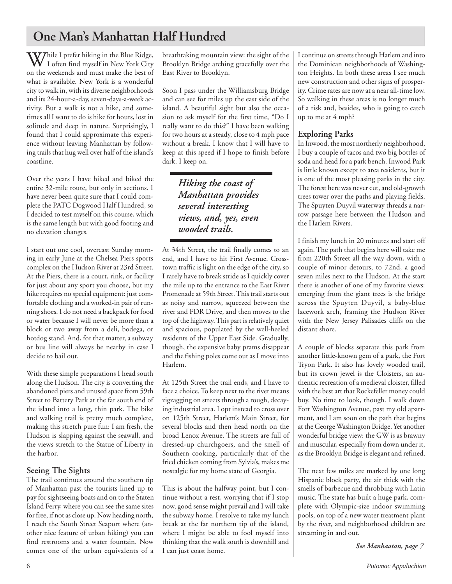## **One Man's Manhattan Half Hundred**

While I prefer hiking in the Blue Ridge,<br>I often find myself in New York City on the weekends and must make the best of what is available. New York is a wonderful city to walk in, with its diverse neighborhoods and its 24-hour-a-day, seven-days-a-week activity. But a walk is not a hike, and sometimes all I want to do is hike for hours, lost in solitude and deep in nature. Surprisingly, I found that I could approximate this experience without leaving Manhattan by following trails that hug well over half of the island's coastline.

Over the years I have hiked and biked the entire 32-mile route, but only in sections. I have never been quite sure that I could complete the PATC Dogwood Half Hundred, so I decided to test myself on this course, which is the same length but with good footing and no elevation changes.

I start out one cool, overcast Sunday morning in early June at the Chelsea Piers sports complex on the Hudson River at 23rd Street. At the Piers, there is a court, rink, or facility for just about any sport you choose, but my hike requires no special equipment: just comfortable clothing and a worked-in pair of running shoes. I do not need a backpack for food or water because I will never be more than a block or two away from a deli, bodega, or hotdog stand. And, for that matter, a subway or bus line will always be nearby in case I decide to bail out.

With these simple preparations I head south along the Hudson. The city is converting the abandoned piers and unused space from 59th Street to Battery Park at the far south end of the island into a long, thin park. The bike and walking trail is pretty much complete, making this stretch pure fun: I am fresh, the Hudson is slapping against the seawall, and the views stretch to the Statue of Liberty in the harbor.

## **Seeing The Sights**

The trail continues around the southern tip of Manhattan past the tourists lined up to pay for sightseeing boats and on to the Staten Island Ferry, where you can see the same sites for free, if not as close up. Now heading north, I reach the South Street Seaport where (another nice feature of urban hiking) you can find restrooms and a water fountain. Now comes one of the urban equivalents of a breathtaking mountain view: the sight of the Brooklyn Bridge arching gracefully over the East River to Brooklyn.

Soon I pass under the Williamsburg Bridge and can see for miles up the east side of the island. A beautiful sight but also the occasion to ask myself for the first time, "Do I really want to do this?" I have been walking for two hours at a steady, close to 4 mph pace without a break. I know that I will have to keep at this speed if I hope to finish before dark. I keep on.

> *Hiking the coast of Manhattan provides several interesting views, and, yes, even wooded trails.*

At 34th Street, the trail finally comes to an end, and I have to hit First Avenue. Crosstown traffic is light on the edge of the city, so I rarely have to break stride as I quickly cover the mile up to the entrance to the East River Promenade at 59th Street. This trail starts out as noisy and narrow, squeezed between the river and FDR Drive, and then moves to the top of the highway. This part is relatively quiet and spacious, populated by the well-heeled residents of the Upper East Side. Gradually, though, the expensive baby prams disappear and the fishing poles come out as I move into Harlem.

At 125th Street the trail ends, and I have to face a choice. To keep next to the river means zigzagging on streets through a rough, decaying industrial area. I opt instead to cross over on 125th Street, Harlem's Main Street, for several blocks and then head north on the broad Lenox Avenue. The streets are full of dressed-up churchgoers, and the smell of Southern cooking, particularly that of the fried chicken coming from Sylvia's, makes me nostalgic for my home state of Georgia.

This is about the halfway point, but I continue without a rest, worrying that if I stop now, good sense might prevail and I will take the subway home. I resolve to take my lunch break at the far northern tip of the island, where I might be able to fool myself into thinking that the walk south is downhill and I can just coast home.

I continue on streets through Harlem and into the Dominican neighborhoods of Washington Heights. In both these areas I see much new construction and other signs of prosperity. Crime rates are now at a near all-time low. So walking in these areas is no longer much of a risk and, besides, who is going to catch up to me at 4 mph?

## **Exploring Parks**

In Inwood, the most northerly neighborhood, I buy a couple of tacos and two big bottles of soda and head for a park bench. Inwood Park is little known except to area residents, but it is one of the most pleasing parks in the city. The forest here was never cut, and old-growth trees tower over the paths and playing fields. The Spuyten Duyvil waterway threads a narrow passage here between the Hudson and the Harlem Rivers.

I finish my lunch in 20 minutes and start off again. The path that begins here will take me from 220th Street all the way down, with a couple of minor detours, to 72nd, a good seven miles next to the Hudson. At the start there is another of one of my favorite views: emerging from the giant trees is the bridge across the Spuyten Duyvil, a baby-blue lacework arch, framing the Hudson River with the New Jersey Palisades cliffs on the distant shore.

A couple of blocks separate this park from another little-known gem of a park, the Fort Tryon Park. It also has lovely wooded trail, but its crown jewel is the Cloisters, an authentic recreation of a medieval cloister, filled with the best art that Rockefeller money could buy. No time to look, though. I walk down Fort Washington Avenue, past my old apartment, and I am soon on the path that begins at the George Washington Bridge. Yet another wonderful bridge view: the GW is as brawny and muscular, especially from down under it, as the Brooklyn Bridge is elegant and refined.

The next few miles are marked by one long Hispanic block party, the air thick with the smells of barbecue and throbbing with Latin music. The state has built a huge park, complete with Olympic-size indoor swimming pools, on top of a new water treatment plant by the river, and neighborhood children are streaming in and out.

*See Manhaatan, page 7*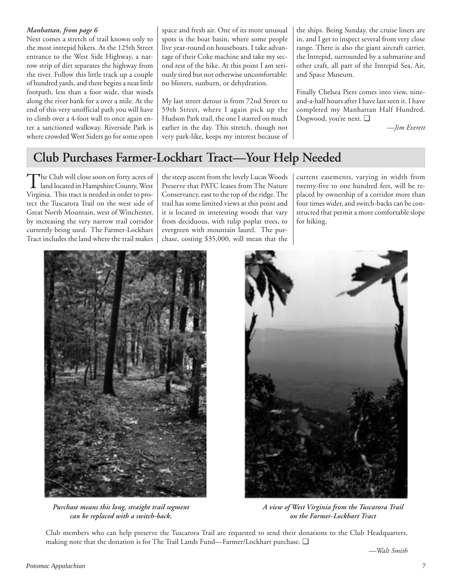Next comes a stretch of trail known only to the most intrepid hikers. At the 125th Street entrance to the West Side Highway, a narrow strip of dirt separates the highway from the river. Follow this little track up a couple of hundred yards, and there begins a neat little footpath, less than a foot wide, that winds along the river bank for a over a mile. At the end of this very unofficial path you will have to climb over a 4-foot wall to once again enter a sanctioned walkway. Riverside Park is where crowded West Siders go for some open

*Manhattan, from page 6* space and fresh air. One of its more unusual spots is the boat basin, where some people live year-round on houseboats. I take advantage of their Coke machine and take my second rest of the hike. At this point I am seriously tired but not otherwise uncomfortable: no blisters, sunburn, or dehydration.

> My last street detour is from 72nd Street to 59th Street, where I again pick up the Hudson Park trail, the one I started on much earlier in the day. This stretch, though not very park-like, keeps my interest because of

the ships. Being Sunday, the cruise liners are in, and I get to inspect several from very close range. There is also the giant aircraft carrier, the Intrepid, surrounded by a submarine and other craft, all part of the Intrepid Sea, Air, and Space Museum.

Finally Chelsea Piers comes into view, nineand-a-half hours after I have last seen it. I have completed my Manhattan Half Hundred. Dogwood, you're next. ❑

*—Jim Everett*

## **Club Purchases Farmer-Lockhart Tract—Your Help Needed**

The Club will close soon on forty acres of<br>land located in Hampshire County, West Virginia. This tract is needed in order to protect the Tuscarora Trail on the west side of Great North Mountain, west of Winchester, by increasing the very narrow trail corridor currently being used. The Farmer-Lockhart Tract includes the land where the trail makes

the steep ascent from the lovely Lucas Woods Preserve that PATC leases from The Nature Conservancy, east to the top of the ridge. The trail has some limited views at this point and it is located in interesting woods that vary from deciduous, with tulip poplar trees, to evergreen with mountain laurel. The purchase, costing \$35,000, will mean that the

current easements, varying in width from twenty-five to one hundred feet, will be replaced by ownership of a corridor more than four times wider, and switch-backs can be constructed that permit a more comfortable slope for hiking.



*Purchase means this long, straight trail segment can be replaced with a switch-back.*



*A view of West Virginia from the Tuscarora Trail on the Farmer-Lockhart Tract*

Club members who can help preserve the Tuscarora Trail are requested to send their donations to the Club Headquarters, making note that the donation is for The Trail Lands Fund—Farmer/Lockhart purchase. ❑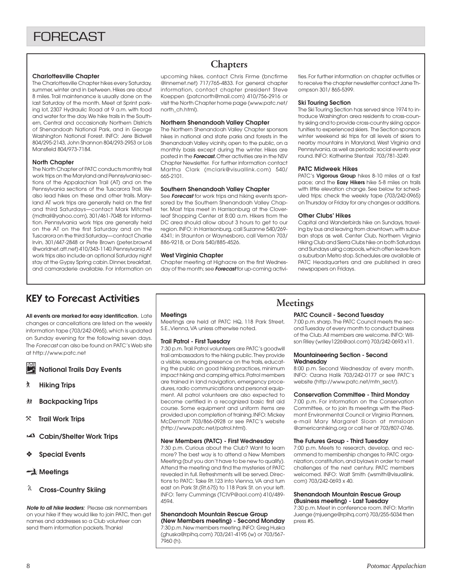## **Charlottesville Chapter**

The Charlottesville Chapter hikes every Saturday, summer, winter and in between. Hikes are about 8 miles. Trail maintenance is usually done on the last Saturday of the month. Meet at Sprint parking lot, 2307 Hydraulic Road at 9 a.m. with food and water for the day. We hike trails in the Southern, Central and occasionally Northern Districts of Shenandoah National Park, and in George Washington National Forest. INFO: Jere Bidwell 804/295-2143, John Shannon 804/293-2953 or Lois Mansfield 804/973-7184.

## **North Chapter**

The North Chapter of PATC conducts monthly trail work trips on the Maryland and Pennsylvania sections of the Appalachian Trail (AT) and on the Pennsylvania sections of the Tuscarora Trail. We also lead hikes on these and other trails. Maryland AT work trips are generally held on the first and third Saturdays—contact Mark Mitchell (mdtrail@yahoo.com), 301/461-7048 for information. Pennsylvania work trips are generally held on the AT on the first Saturday and on the Tuscarora on the third Saturday—contact Charlie Irvin, 301/447-2848 or Pete Brown (peter.brown4 @worldnet.att.net) 410/343-1140. Pennsylvania AT work trips also include an optional Saturday night stay at the Gypsy Spring cabin. Dinner, breakfast, and camaraderie available. For information on

## **Chapters**

upcoming hikes, contact Chris Firme (bncfirme @innernet.net) 717/765-4833. For general chapter information, contact chapter president Steve Koeppen (patcnorth@mail.com) 410/756-2916 or visit the North Chapter home page (www.patc.net/ north\_ch.html).

### **Northern Shenandoah Valley Chapter**

The Northern Shenandoah Valley Chapter sponsors hikes in national and state parks and forests in the Shenandoah Valley vicinity, open to the public, on a monthly basis except during the winter. Hikes are posted in the **Forecast.** Other activities are in the NSV Chapter Newsletter. For further information contact Martha Clark (mclark@visuallink.com) 540/ 665-2101.

### **Southern Shenandoah Valley Chapter**

See **Forecast** for work trips and hiking events sponsored by the Southern Shenandoah Valley Chapter. Most trips meet in Harrisonburg at the Cloverleaf Shopping Center at 8:00 a.m. Hikers from the DC area should allow about 3 hours to get to our region. INFO: in Harrisonburg, call Suzanne 540/269- 4341; in Staunton or Waynesboro, call Vernon 703/ 886-9218, or Doris 540/885-4526.

### **West Virginia Chapter**

Chapter meeting at Highacre on the first Wednesday of the month; see **Forecast** for up-coming activities. For further information on chapter activities or to receive the chapter newsletter contact Jane Thompson 301/ 865-5399.

#### **Ski Touring Section**

The Ski Touring Section has served since 1974 to introduce Washington area residents to cross-country skiing and to provide cross-country skiing opportunities to experienced skiers. The Section sponsors winter weekend ski trips for all levels of skiers to nearby mountains in Maryland, West Virginia and Pennsylvania, as well as periodic social events year round. INFO: Katherine Stentzel 703/781-3249.

#### **PATC Midweek Hikes**

PATC's **Vigorous Group** hikes 8-10 miles at a fast pace; and the **Easy Hikers** hike 5-8 miles on trails with little elevation change. See below for scheduled trips; check the weekly tape (703/242-0965) on Thursday or Friday for any changes or additions.

#### **Other Clubs' Hikes**

Capital and Wanderbirds hike on Sundays, traveling by bus and leaving from downtown, with suburban stops as well. Center Club, Northern Virginia Hiking Club and Sierra Clubs hike on both Saturdays and Sundays using carpools, which often leave from a suburban Metro stop. Schedules are available at PATC Headquarters and are published in area newspapers on Fridays.

## KEY to Forecast Activities

**All events are marked for easy identification.** Late changes or cancellations are listed on the weekly information tape (703/242-0965), which is updated on Sunday evening for the following seven days. The Forecast can also be found on PATC's Web site at http://www.patc.net

**National Trails Day Events**

- ` **Hiking Trips**
- **然 Backpacking Trips**
- } **Trail Work Trips**
- **Cabin/Shelter Work Trips**
- ❖ **Special Events**

## **Meetings**

## **Cross-Country Skiing**

**Note to all hike leaders:** Please ask nonmembers on your hike if they would like to join PATC, then get names and addresses so a Club volunteer can send them information packets. Thanks!

## **Meetings**

Meetings are held at PATC HQ, 118 Park Street, S.E.,Vienna, VA unless otherwise noted.

#### **Trail Patrol - First Tuesday**

7:30 p.m. Trail Patrol volunteers are PATC's goodwill trail ambassadors to the hiking public. They provide a visible, reassuring presence on the trails, educating the public on good hiking practices, minimum impact hiking and camping ethics. Patrol members are trained in land navigation, emergency procedures, radio communications and personal equipment. All patrol volunteers are also expected to become certified in a recognized basic first aid course. Some equipment and uniform items are provided upon completion of training. INFO: Mickey McDermott 703/866-0928 or see PATC's website (http://www.patc.net/patrol.html).

#### **New Members (PATC) - First Wednesday**

7:30 p.m. Curious about the Club? Want to learn more? The best way is to attend a New Members Meeting (but you don't have to be new to qualify). Attend the meeting and find the mysteries of PATC revealed in full. Refreshments will be served. Directions to PATC: Take Rt.123 into Vienna, VA and turn east on Park St.(Rt.675) to 118 Park St. on your left. INFO: Terry Cummings (TCIVP@aol.com) 410/489- 4594.

## **Shenandoah Mountain Rescue Group**

**(New Members meeting) - Second Monday** 7:30 p.m. New members meeting. INFO: Greg Huska (ghuska@rpihq.com) 703/241-4195 (w) or 703/567- 7960 (h).

## **Meetings**

## **PATC Council - Second Tuesday**

7:00 p.m. sharp. The PATC Council meets the second Tuesday of every month to conduct business of the Club. All members are welcome. INFO: Wilson Riley (wriley1226@aol.com) 703/242-0693 x11.

#### **Mountaineering Section - Second Wednesday**

8:00 p.m. Second Wednesday of every month. INFO: Ozana Halik 703/242-0177 or see PATC's website (http://www.patc.net/mtn\_sect/).

#### **Conservation Committee - Third Monday**

7:00 p.m. For information on the Conservation Committee, or to join its meetings with the Piedmont Environmental Council or Virginia Planners, e-mail Mary Margaret Sloan at mmsloan @americanhiking.org or call her at 703/807-0746.

#### **The Futures Group - Third Tuesday**

7:00 p.m. Meets to research, develop, and recommend to membership changes to PATC organization, constitution, and bylaws in order to meet challenges of the next century. PATC members welcomed. INFO: Walt Smith (wsmith@visuallink. com) 703/242-0693 x 40.

### **Shenandoah Mountain Rescue Group (Business meeting) - Last Tuesday**

7:30 p.m. Meet in conference room. INFO: Martin Juenge (mjuenge@rpihq.com) 703/255-5034 then press #5.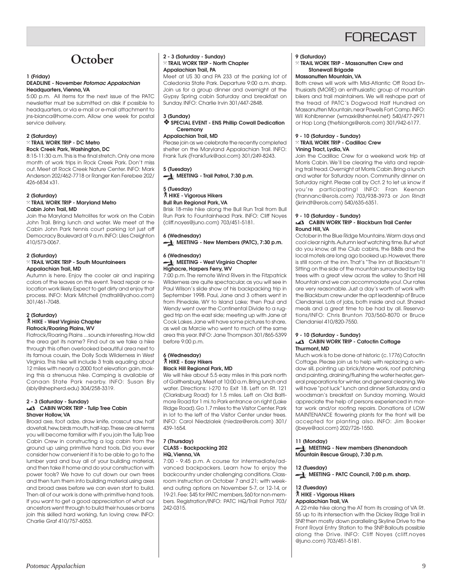

## **October**

#### **1 (Friday) DEADLINE - November Potomac Appalachian Headquarters, Vienna, VA**

5:00 p.m. All items for the next issue of the PATC newsletter must be submitted on disk if possible to headquarters, or via e-mail or e-mail attachment to jns-bianca@home.com. Allow one week for postal service delivery.

#### **2 (Saturday)** } **TRAIL WORK TRIP - DC Metro Rock Creek Park, Washington, DC**

8:15-11:30 a.m. This is the final stretch. Only one more month of work trips in Rock Creek Park. Don't miss out. Meet at Rock Creek Nature Center. INFO: Mark Anderson 202/462-7718 or Ranger Ken Ferebee 202/ 426-6834 x31.

## **2 (Saturday)**

#### } **TRAIL WORK TRIP - Maryland Metro Cabin John Trail, MD**

Join the Maryland Metrolites for work on the Cabin John Trail. Bring lunch and water. We meet at the Cabin John Park tennis court parking lot just off Democracy Boulevard at 9 a.m. INFO: Liles Creighton 410/573-0067.

#### **2 (Saturday)** } **TRAIL WORK TRIP - South Mountaineers**

## **Appalachian Trail, MD**

Autumn is here. Enjoy the cooler air and inspiring colors of the leaves on this event. Tread repair or relocation work likely. Expect to get dirty and enjoy that process. INFO: Mark Mitchell (mdtrail@yahoo.com) 301/461-7048.

### **2 (Saturday)** ` **HIKE - West Virginia Chapter Flatrock/Roaring Plains, WV**

Flatrock/Roaring Plains ... sounds interesting. How did the area get its name? Find out as we take a hike through this often overlooked beautiful area next to its famous cousin, the Dolly Sods Wilderness in West Virginia. This hike will include 3 trails equaling about 12 miles with nearly a 2000 foot elevation gain, making this a strenuous hike. Camping is available at Canaan State Park nearby. INFO: Susan Bly (sbly@shepherd.edu) 304/258-3319.

#### **2 - 3 (Saturday - Sunday) CABIN WORK TRIP - Tulip Tree Cabin Shaver Hollow, VA**

Broad axe, foot adze, draw knife, crosscut saw, half dovetail, hew, birds mouth, half-lap. These are all terms you will become familiar with if you join the Tulip Tree Cabin Crew in constructing a log cabin from the ground up using primitive hand tools. Did you ever consider how convenient it is to be able to go to the lumber yard and buy all of your building material, and then take it home and do your construction with power tools? We have to cut down our own trees and then turn them into building material using axes and broad axes before we can even start to build. Then all of our work is done with primitive hand tools. If you want to get a good appreciation of what our ancestors went through to build their houses or barns join this skilled hard working, fun loving crew. INFO: Charlie Graf 410/757-6053.

#### **2 - 3 (Saturday - Sunday)** } **TRAIL WORK TRIP - North Chapter Appalachian Trail, PA**

Meet at US 30 and PA 233 at the parking lot of Caledonia State Park. Departure 9:00 a.m. sharp. Join us for a group dinner and overnight at the Gypsy Spring cabin Saturday and breakfast on Sunday. INFO: Charlie Irvin 301/447-2848.

## **3 (Sunday)**

#### ❖ **SPECIAL EVENT - ENS Phillip Cowall Dedication Ceremony**

## **Appalachian Trail, MD**

Please join as we celebrate the recently completed shelter on the Maryland Appalachian Trail. INFO: Frank Turk (FrankTurk@aol.com) 301/249-8243.

## **5 (Tuesday)**

**MEETING - Trail Patrol, 7:30 p.m.** 

## **5 (Tuesday)**

## ` **HIKE - Vigorous Hikers Bull Run Regional Park, VA**

Brisk 18-mile hike along the Bull Run Trail from Bull Run Park to Fountainhead Park. INFO: Cliff Noyes (cliff.noyes@juno.com) 703/451-5181.

## **6 (Wednesday)**

**MEETING - New Members (PATC), 7:30 p.m.**

#### **6 (Wednesday) MEETING - West Virginia Chapter Highacre, Harpers Ferry, WV**

7:00 p.m. The remote Wind Rivers in the Fitzpatrick Wilderness are quite spectacular, as you will see in Paul Wilson's slide show of his backpacking trip in September 1998. Paul, Jane and 3 others went in from Pinedale, WY to Island Lake; then Paul and Wendy went over the Continental Divide to a rugged trip on the east side; meeting up with Jane at Cook Lakes. Jane will have some pictures to share, as well as Marcie who went to much of the same area this year. INFO: Jane Thompson 301/865-5399 before 9:00 p.m.

### **6 (Wednesday)** ` **HIKE - Easy Hikers Black Hill Regional Park, MD**

We will hike about 5.5 easy miles in this park north of Gaithersburg. Meet at 10:00 a.m. Bring lunch and water. Directions: I-270 to Exit 18. Left on Rt. 121 (Clarksburg Road) for 1.5 miles. Left on Old Baltimore Road for 1 mi. to Park entrance on right (Lake Ridge Road). Go 1.7 miles to the Visitor Center. Park in lot to the left of the Visitor Center under trees. INFO: Carol Niedzialek (niedze@erols.com) 301/ 439-1654.

#### **7 (Thursday) CLASS - Backpacking 202 HQ, Vienna, VA**

7:00 - 9:45 p.m. A course for intermediate/advanced backpackers. Learn how to enjoy the backcountry under challenging conditions. Classroom instruction on October 7 and 21; with weekend outing options on November 5-7, or 12-14, or 19-21. Fee: \$45 for PATC members, \$60 for non-members. Registration/INFO: PATC HQ/Trail Patrol 703/ 242-0315.

## **9 (Saturday)**

## } **TRAIL WORK TRIP - Massanutten Crew and Stonewall Brigade**

## **Massanutten Mountain, VA**

Both crews will work with Mid-Atlantic Off Road Enthusiasts (MORE) an enthusiastic group of mountain bikers and trail maintainers. We will reshape part of the tread of PATC's Dogwood Half Hundred on Massanutten Mountain, near Powells Fort Camp. INFO: Wil Kohlbrenner (wmaxk@shentel.net) 540/477-2971 or Hop Long (thefslongs@erols.com) 301/942-6177.

## **9 - 10 (Saturday - Sunday)**

#### } **TRAIL WORK TRIP - Cadillac Crew Vining Tract, Lydia, VA**

Join the Cadillac Crew for a weekend work trip at Morris Cabin. We'll be clearing the vista and repairing trail tread. Overnight at Morris Cabin. Bring a lunch and water for Saturday noon. Community dinner on Saturday night. Please call by Oct. 2 to let us know if you're participating! INFO: Fran Keenan (frannanc@erols.com) 703/938-3973 or Jon Rindt (jkrindt@erols.com) 540/635-6351.

#### **9 - 10 (Saturday - Sunday) CABIN WORK TRIP - Blackburn Trail Center Round Hill, VA**

October in the Blue Ridge Mountains. Warm days and cool clear nights. Autumn leaf watching time. But what do you know, all the Club cabins, the B&Bs and the local motels are long ago booked up. However, there is still room at the inn. That's "The Inn at Blackburn"!! Sitting on the side of the mountain surrounded by big trees with a great view across the valley to Short Hill Mountain and we can accommodate you!. Our rates are very reasonable. Just a day's worth of work with the Blackburn crew under the apt leadership of Bruce Clendaniel. Lots of jobs, both inside and out. Shared meals and a great time to be had by all. Reservations/INFO: Chris Brunton 703/560-8070 or Bruce Clendaniel 410/820-7550.

## **9 - 10 (Saturday - Sunday)**

#### **CABIN WORK TRIP - Catoctin Cottage Thurmont, MD**

Much work is to be done at historic (c. 1776) Catoctin Cottage. Please join us to help with replacing a window sill, pointing up brick/stone work, roof patching and painting, draining/flushing the water heater, general preparations for winter, and general cleaning. We will have "pot luck" lunch and dinner Saturday, and a woodsman's breakfast on Sunday morning. Would appreciate the help of persons experienced in mortar work and/or roofing repairs. Donations of LOW MAINTENANCE flowering plants for the front will be accepted for planting also. INFO: Jim Booker (jbeye@aol.com) 202/726-1550.

## **11 (Monday)**

**MEETING - New members (Shenandoah Mountain Rescue Group), 7:30 p.m.**

## **12 (Tuesday)**

MEETING - PATC Council, 7:00 p.m. sharp.

## **12 (Tuesday)**

#### ` **HIKE - Vigorous Hikers Appalachian Trail, VA**

A 22-mile hike along the AT from its crossing of VA Rt. 55 up to its intersection with the Dickey Ridge Trail in SNP, then mostly down paralleling Skyline Drive to the Front Royal Entry Station to the SNP. Bailouts possible along the Drive. INFO: Cliff Noyes (cliff.noyes @juno.com) 703/451-5181.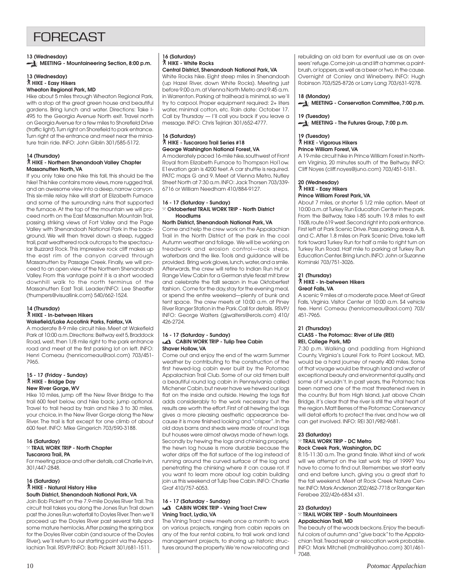## **FORFCAST**

## **13 (Wednesday) MEETING - Mountaineering Section, 8:00 p.m.**

#### **13 (Wednesday)** ` **HIKE - Easy Hikers Wheaton Regional Park, MD**

Hike about 5 miles through Wheaton Regional Park, with a stop at the great green house and beautiful gardens. Bring lunch and water. Directions: Take I-495 to the Georgia Avenue North exit. Travel north on Georgia Avenue for a few miles to Shorefield Drive (traffic light). Turn right on Shorefield to park entrance. Turn right at the entrance and meet near the miniature train ride. INFO: John Giblin 301/585-5172.

#### **14 (Thursday)** ` **HIKE - Northern Shenandoah Valley Chapter Massanutten North, VA**

If you only take one hike this fall, this should be the hike! This hike contains more views, more rugged trail, and an awesome view into a deep, narrow canyon. This six-mile relay hike will start at Elizabeth Furnace and some of the surrounding ruins that supported the furnace. At the top of the mountain we will proceed north on the East Massanutten Mountain Trail, passing striking views of Fort Valley and the Page Valley with Shenandoah National Park in the background. We will then travel down a steep, rugged trail, past weathered rock outcrops to the spectacular Buzzard Rock. This impressive rock cliff makes up the east rim of the canyon carved through Massanutten by Passage Creek. Finally, we will proceed to an open view of the Northern Shenandoah Valley. From this vantage point it is a short wooded downhill walk to the north terminus of the Massanutten East Trail. Leader/INFO: Lee Sheaffer (thumpers@visuallink.com) 540/662-1524.

#### **14 (Thursday)** ` **HIKE - In-between Hikers Wakefield/Lake Accotink Parks, Fairfax, VA**

A moderate 8-9 mile circuit hike. Meet at Wakefield Park at 10:00 a.m. Directions: Beltway exit 5, Braddock Road, west, then 1/8 mile right to the park entrance road and meet at the first parking lot on left. INFO: Henri Comeau (henricomeau@aol.com) 703/451- 7965.

#### **15 - 17 (Friday - Sunday)** ` **HIKE - Bridge Day New River Gorge, WV**

Hike 10 miles, jump off the New River Bridge to the trail 600 feet below, and hike back; jump optional. Travel to trail head by train and hike 3 to 30 miles, your choice, in the New River Gorge along the New River. The trail is flat except for one climb of about 600 feet. INFO: Mike Gingerich 703/590-3188.

## **16 (Saturday)**

### } **TRAIL WORK TRIP - North Chapter Tuscarora Trail, PA**

For meeting place and other details, call Charlie Irvin, 301/447-2848.

#### **16 (Saturday)** ` **HIKE - Natural History Hike South District, Shenandoah National Park, VA**

Join Bob Pickett on the 7.9-mile Doyles River Trail. This circuit trail takes you along the Jones Run Trail down past the Jones Run waterfall to Doyles River. Then we'll proceed up the Doyles River past several falls and some mature hemlocks. After passing the spring box for the Doyles River cabin (and source of the Doyles River), we'll return to our starting point via the Appalachian Trail. RSVP/INFO: Bob Pickett 301/681-1511.

## **16 (Saturday)** ` **HIKE - White Rocks**

**Central District, Shenandoah National Park, VA** White Rocks hike. Eight steep miles in Shenandoah (up Hazel River, down White Rocks). Meeting just before 9:00 a.m. at Vienna North Metro and 9:45 a.m. in Warrenton. Parking at trailhead is minimal, so we'll try to carpool. Proper equipment required: 2+ liters water, minimal cotton, etc. Rain date: October 17. Call by Thursday — I'll call you back if you leave a message. INFO: Chris Tejirian 301/652-4777.

### **16 (Saturday)** ` **HIKE - Tuscarora Trail Series #18 George Washington National Forest, VA**

A moderately paced 16-mile hike, southwest of Front Royal from Elizabeth Furnace to Thompson Hol1ow. E1evation gain is 4200 feet. A car shuttle is required. PATC maps G and 9. Meet at Vienna Metro, Nutley Street North at 7:30 a.m. INFO: Jack Thorsen 703/339- 6716 or William Needham 410/884-9127.

## **16 - 17 (Saturday - Sunday)**

#### } **Oktoberfest TRAIL WORK TRIP - North District Hoodlums**

## **North District, Shenandoah National Park, VA**

Come and help the crew work on the Appalachian Trail in the North District of the park in the cool Autumn weather and foliage. We will be working on treadwork and erosion control—rock steps, waterbars and the like. Tools and guidance will be provided. Bring work gloves, lunch, water, and a smile. Afterwards, the crew will retire to Indian Run Hut or Range View Cabin for a German style feast mit brew and celebrate the falll season in true Oktoberfest fashion. Come for the day, stay for the evening meal, or spend the entire weekend—plenty of bunk and tent space. The crew meets at 10:00 a.m. at Piney River Ranger Station in the Park. Call for details. RSVP/ INFO: George Walters (gjwalters@erols.com) 410/ 426-2724.

### **16 - 17 (Saturday - Sunday) CABIN WORK TRIP - Tulip Tree Cabin Shaver Hollow, VA**

Come out and enjoy the end of the warm Summer weather by contributing to the construction of the first hewed-log cabin ever built by the Potomac Appalachian Trail Club. Some of our old timers built a beautiful round log cabin in Pennsylvania called Michener Cabin, but never have we hewed our logs flat on the inside and outside. Hewing the logs flat adds considerably to the work necessary but the results are worth the effort. First of all hewing the logs gives a more pleasing aesthetic appearance because it is more finished looking and "crisper". In the old days barns and sheds were made of round logs but houses were almost always made of hewn logs. Secondly by hewing the logs and chinking properly, the hewn log house is more durable because the water drips off the flat surface of the log instead of running around the curved surface of the log and penetrating the chinking where it can cause rot. If you want to learn more about log cabin building join us this weekend at Tulip Tree Cabin. INFO: Charlie Graf 410/757-6053.

#### **16 - 17 (Saturday - Sunday) CABIN WORK TRIP - Vining Tract Crew Vining Tract, Lydia, VA**

The Vining Tract crew meets once a month to work on various projects, ranging from cabin repairs on any of the four rental cabins, to trail work and land management projects, to shoring up historic structures around the property. We're now relocating and rebuilding an old barn for eventual use as an overseers' refuge. Come join us and lift a hammer, a paintbrush, or loppers, as well as a beer or two, in the cause. Overnight at Conley and Wineberry. INFO: Hugh Robinson 703/525-8726 or Larry Lang 703/631-9278.

## **18 (Monday)**

**MEETING - Conservation Committee, 7:00 p.m.**

## **19 (Tuesday)**

**MEETING - The Futures Group, 7:00 p.m.** 

## **19 (Tuesday)** ` **HIKE - Vigorous Hikers**

## **Prince William Forest, VA**

A 19-mile circuit hike in Prince William Forest in Northern Virginia, 20 minutes south of the Beltway. INFO: Cliff Noyes (cliff.noyes@juno.com) 703/451-5181.

### **20 (Wednesday)** ` **HIKE - Easy Hikers**

## **Prince William Forest Park, VA**

About 7 miles, or shorter 5 1/2 mile option. Meet at 10:00 a.m. at Turkey Run Education Center in the park. From the Beltway, take I-85 south 19.8 miles to exit 150B, route 619 west. Second right into park entrance. First left at Park Scenic Drive. Pass parking areas A, B, and C. After 1.8 miles on Park Scenic Drive, take left fork toward Turkey Run for half a mile to right turn on Turkey Run Road. Half mile to parking at Turkey Run Education Center. Bring lunch. INFO: John or Suzanne Kominski 703/751-3026.

#### **21 (Thursday)** ` **HIKE - In-between Hikers Great Falls, VA**

A scenic 9 miles at a moderate pace. Meet at Great Falls, Virginia. Visitor Center at 10:00 a.m. \$4 vehicle fee. Henri Comeau (henricomeau@aol.com) 703/ 451-7965.

## **21 (Thursday)**

#### **CLASS - The Potomac: River of Life (REI) REI, College Park, MD**

7:30 p.m. Walking and paddling from Highland County, Virginia's Laurel Fork to Point Lookout, MD, would be a hard journey of nearly 400 miles. Some of that voyage would be through land and water of exceptional beauty and environmental quality, and some of it wouldn't. In past years, the Potomac has been named one of the most threatened rivers in the country. But from High Island, just above Chain Bridge, it's clear that the river is still the vital heart of the region. Matt Berres of the Potomac Conservancy will detail efforts to protect the river, and how we all can get involved. INFO: REI 301/982-9681.

## **23 (Saturday)**

#### } **TRAIL WORK TRIP - DC Metro Rock Creek Park, Washington, DC**

8:15-11:30 a.m. The grand finale. What kind of work will we attempt on the last work trip of 1999? You have to come to find out. Remember, we start early and end before lunch, giving you a great start to the fall weekend. Meet at Rock Creek Nature Center. INFO: Mark Anderson 202/462-7718 or Ranger Ken Ferebee 202/426-6834 x31.

#### **23 (Saturday)** } **TRAIL WORK TRIP - South Mountaineers Appalachian Trail, MD**

The beauty of the woods beckons. Enjoy the beautiful colors of autumn and "give back" to the Appalachian Trail. Tread repair or relocation work probable. INFO: Mark Mitchell (mdtrail@yahoo.com) 301/461- 7048.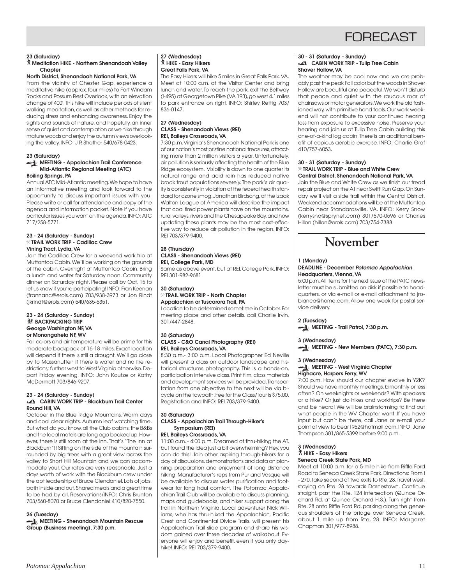## **FORFCAST**

#### **23 (Saturday)**

### ` **Meditation HIKE - Northern Shenandoah Valley Chapter**

**North District, Shenandoah National Park, VA** From the vicinity of Chester Gap, experience a meditative hike (approx. four miles) to Fort Windam Rocks and Possum Rest Overlook, with an elevation change of 400'. This hike will include periods of silent walking meditation, as well as other methods for reducing stress and enhancing awareness. Enjoy the sights and sounds of nature, and hopefully, an inner sense of quiet and contemplation as we hike through mature woods and enjoy the autumn views overlooking the valley. INFO: J R Strother 540/678-0423.

#### **23 (Saturday) MEETING - Appalachian Trail Conference**

## **Mid-Atlantic Regional Meeting (ATC) Boiling Springs, PA**

Annual ATC Mid-Atlantic meeting. We hope to have an informative meeting and look forward to the opportunity to discuss important issues with you. Please write or call for attendance and copy of the agenda and information packet. Note if you have particular issues you want on the agenda. INFO: ATC 717/258-5771.

#### **23 - 24 (Saturday - Sunday)** } **TRAIL WORK TRIP - Cadillac Crew Vining Tract, Lydia, VA**

Join the Cadillac Crew for a weekend work trip at Muttontop Cabin. We'll be working on the grounds of the cabin. Overnight at Muttontop Cabin. Bring a lunch and water for Saturday noon. Community dinner on Saturday night. Please call by Oct. 15 to let us know if you're participating! INFO: Fran Keenan (frannanc@erols.com) 703/938-3973 or Jon Rindt (jkrindt@erols.com) 540/635-6351.

#### **23 - 24 (Saturday - Sunday) 然 BACKPACKING TRIP George Washington NF, VA or Monongahela NF, WV**

Fall colors and air temperature will be prime for this moderate backpack of 16-18 miles. Exact location will depend if there is still a drought. We'll go close by to Massanutten if there is water and no fire restrictions; further west to West Virginia otherwise. Depart Friday evening. INFO: John Koutze or Kathy McDermott 703/846-9207.

#### **23 - 24 (Saturday - Sunday) CABIN WORK TRIP - Blackburn Trail Center Round Hill, VA**

October in the Blue Ridge Mountains. Warm days and cool clear nights. Autumn leaf watching time. But what do you know, all the Club cabins, the B&Bs and the local motels are long ago booked up. However, there is still room at the inn. That's "The Inn at Blackburn"!! Sitting on the side of the mountain surrounded by big trees with a great view across the valley to Short Hill Mountain and we can accommodate you!. Our rates are very reasonable. Just a days worth of work with the Blackburn crew under the apt leadership of Bruce Clendaniel. Lots of jobs, both inside and out. Shared meals and a great time to be had by all. Reservations/INFO: Chris Brunton 703/560-8070 or Bruce Clendaniel 410/820-7550.

**26 (Tuesday)**

**MEETING - Shenandoah Mountain Rescue Group (Business meeting), 7:30 p.m.**

#### **27 (Wednesday)** ` **HIKE - Easy Hikers Great Falls Park, VA**

The Easy Hikers will hike 5 miles in Great Falls Park. VA. Meet at 10:00 a.m. at the Visitor Center and bring lunch and water. To reach the park, exit the Beltway (I-495) at Georgetown Pike (VA 193), go west 4.1 miles to park entrance on right. INFO: Shirley Rettig 703/ 836-0147.

#### **27 (Wednesday) CLASS - Shenandoah Views (REI) REI, Baileys Crossroads, VA**

7:30 p.m. Virginia's Shenandoah National Park is one of our nation's most pristine national treasures, attracting more than 2 million visitors a year. Unfortunately, air pollution is seriously affecting the health of the Blue Ridge ecosystem. Visibility is down to one quarter its natural range and acid rain has reduced native brook trout populations severely. The park's air quality is consistently in violation of the federal health standard for ozone smog. Jonathan Birdsong, of the Izaak Walton League of America will describe the impact that coal fired power plants have on the mountains, rural valleys, rivers and the Chesapeake Bay, and how updating these plants may be the most cost-effective way to reduce air pollution in the region. INFO: REI 703/379-9400.

### **28 (Thursday) CLASS - Shenandoah Views (REI) REI, College Park, MD**

Same as above event, but at REI, College Park. INFO: REI 301-982-9681.

#### **30 (Saturday)** } **TRAIL WORK TRIP - North Chapter Appalachian or Tuscarora Trail, PA**

Location to be determined sometime in October. For meeting place and other details, call Charlie Irvin, 301/447-2848.

#### **30 (Saturday) CLASS - C&O Canal Photography (REI) REI, Baileys Crossroads, VA**

8:30 a.m.- 3:00 p.m. Local Photographer Ed Neville will present a class on outdoor landscape and historical structures photography. This is a hands-on, participation intensive class. Print film, class materials and development services will be provided. Transportation from one objective to the next will be via bicycle on the towpath. Fee for the Class/Tour is \$75.00. Registration and INFO: REI 703/379-9400.

## **30 (Saturday)**

## **CLASS - Appalachian Trail Through-Hiker's Symposium (REI)**

**REI, Baileys Crossroads, VA**

11:00 a.m. - 4:00 p.m. Dreamed of thru-hiking the AT, but found the idea just a bit overwhelming? Hey, you can do this! Join other aspiring through-hikers for a day of discussions, demonstrations and data on planning, preparation and enjoyment of long distance hiking. Manufacturer's reps from Pur and Vasque will be available to discuss water purification and footwear for long haul comfort. The Potomac Appalachian Trail Club will be available to discuss planning, maps and guidebooks, and hiker support along the trail in Northern Virginia. Local adventurer Nick Williams, who has thru-hiked the Appalachian, Pacific Crest and Continental Divide Trails, will present his Appalachian Trail slide program and share his wisdom gained over three decades of walkabout. Everyone will enjoy and benefit, even if you only dayhike! INFO: REI 703/379-9400.

#### **30 - 31 (Saturday - Sunday) CABIN WORK TRIP - Tulip Tree Cabin Shaver Hollow, VA**

The weather may be cool now and we are probably past the peak Fall color but the woods in Shaver Hollow are beautiful and peaceful. We won't disturb that peace and quiet with the raucous roar of chainsaws or motor generators. We work the old fashioned way, with primitive hand tools. Our work weekend will not contribute to your continued hearing loss from exposure to excessive noise. Preserve your hearing and join us at Tulip Tree Cabin building this one-of-a-kind log cabin. There is an additional benefit of copious aerobic exercise. INFO: Charlie Graf 410/757-6053.

#### **30 - 31 (Saturday - Sunday)** } **TRAIL WORK TRIP - Blue and White Crew Central District, Shenandoah National Park, VA**

Join the Blue and White Crew as we finish our tread repair project on the AT near Swift Run Gap. On Sunday we'll visit a side trail within the Central District. Weekend accommodations will be at the Muttontop Cabin near Standardsville, VA. INFO: Kerry Snow (kerrysno@sprynet.com) 301/570-0596 or Charles Hillon (hillon@erols.com) 703/754-7388.



## **1 (Monday)**

## **DEADLINE - December Potomac Appalachian Headquarters, Vienna, VA**

5:00 p.m. All items for the next issue of the PATC newsletter must be submitted on disk if possible to headquarters, or via e-mail or e-mail attachment to jnsbianca@home.com. Allow one week for postal service delivery.

**2 (Tuesday)**

**MEETING - Trail Patrol, 7:30 p.m.** 

## **3 (Wednesday) MEETING - New Members (PATC), 7:30 p.m.**

## **3 (Wednesday)**

## **MEETING - West Virginia Chapter Highacre, Harpers Ferry, WV**

7:00 p.m. How should our chapter evolve in Y2K? Should we have monthly meetings, bimonthly or less often? On weeknights or weekends? With speakers or a hike? Or just do hikes and worktrips? Be there and be heard! We will be brainstorming to find out what people in the WV Chapter want. If you have input but can't be there, call Jane or e-mail your point of view to bear1952@hotmail.com. INFO: Jane Thompson 301/865-5399 before 9:00 p.m.

#### **3 (Wednesday)** ` **HIKE - Easy Hikers Seneca Creek State Park, MD**

Meet at 10:00 a.m. for a 5-mile hike from Riffle Ford Road to Seneca Creek State Park. Directions: From I - 270, take second of two exits to Rte. 28. Travel west, staying on Rte. 28 towards Darnestown. Continue straight, past the Rte. 124 intersection (Quince Orchard Rd. at Quince Orchard H.S.). Turn right from Rte. 28 onto Riffle Ford Rd. parking along the generous shoulders of the bridge over Seneca Creek, about 1 mile up from Rte. 28. INFO: Margaret Chapman 301/977-8988.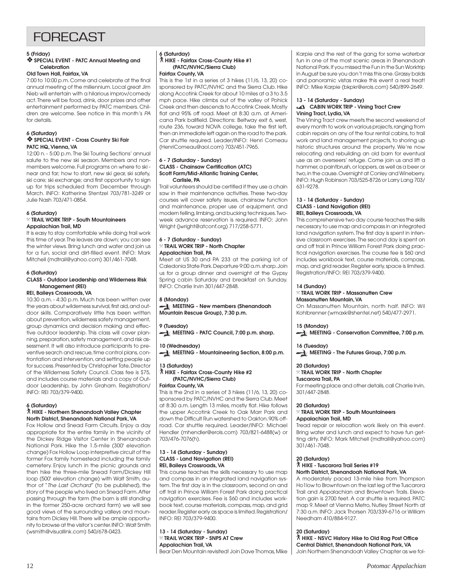## **FORFCAST**

## **5 (Friday)**

### ❖ **SPECIAL EVENT - PATC Annual Meeting and Celebration**

### **Old Town Hall, Fairfax, VA**

7:00 to 10:00 p.m. Come and celebrate at the final annual meeting of the millennium. Local great Jim Nieb will entertain with a hilarious improv/comedy act. There will be food, drink, door prizes and other entertainment performed by PATC members. Children are welcome. See notice in this month's PA for details.

#### **6 (Saturday)** ❖ **SPECIAL EVENT - Cross Country Ski Fair PATC HQ, Vienna, VA**

12:00 n. - 5:00 p.m. The Ski Touring Sections' annual salute to the new ski season. Members and nonmembers welcome. Full programs on where to ski near and far; how to start, new ski gear, ski safety, ski care; ski exchange; and first opportunity to sign up for trips scheduled from December through March. INFO: Katherine Stentzel 703/781-3249 or Julie Nash 703/471-0854.

## **6 (Saturday)**

## } **TRAIL WORK TRIP - South Mountaineers Appalachian Trail, MD**

It is easy to stay comfortable while doing trail work this time of year. The leaves are down; you can see the winter views. Bring lunch and water and join us for a fun, social and dirt-filled event. INFO: Mark Mitchell (mdtrail@yahoo.com) 301/461-7048.

## **6 (Saturday)**

## **CLASS - Outdoor Leadership and Wilderness Risk Management (REI)**

### **REI, Baileys Crossroads, VA**

10:30 a.m. - 4:30 p.m. Much has been written over the years about wilderness survival, first aid, and outdoor skills. Comparatively little has been written about prevention, wilderness safety management, group dynamics and decision making and effective outdoor leadership. This class will cover planning, preparation, safety management, and risk assessment. It will also introduce participants to preventive search and rescue, time control plans, confrontation and intervention, and setting people up for success. Presented by Christopher Tate, Director of the Wilderness Safety Council. Class fee is \$75, and includes course materials and a copy of Outdoor Leadership, by John Graham. Registration/ INFO: REI 703/379-9400.

## **6 (Saturday)**

## ` **HIKE - Northern Shenandoah Valley Chapter North District, Shenandoah National Park, VA**

Fox Hollow and Snead Farm Circuits. Enjoy a day appropriate for the entire family in the vicinity of the Dickey Ridge Visitor Center in Shenandoah National Park. Hike the 1.5-mile (300' elevation change) Fox Hollow Loop interpretive circuit of the former Fox family homestead including the family cemetery. Enjoy lunch in the picnic grounds and then hike the three-mile Snead Farm/Dickey Hill loop (500' elevation change) with Walt Smith, author of "The Last Orchard" (to be published), the story of the people who lived on Snead Farm. After passing through the farm (the barn is still standing in the former 250-acre orchard farm) we will see good views of the surrounding valleys and mountains from Dickey Hill. There will be ample opportunity to browse at the visitor's center. INFO: Walt Smith (wsmith@visuallink.com) 540/678-0423.

## **6 (Saturday)**

## ` **HIKE - Fairfax Cross-County Hike #1 (PATC/NVHC/Sierra Club)**

## **Fairfax County, VA**

This is the 1st in a series of 3 hikes (11/6, 13, 20) cosponsored by PATC/NVHC and the Sierra Club. Hike along Accotink Creek for about 10 miles at a 3 to 3.5 mph pace. Hike climbs out of the valley of Pohick Creek and then descends to Accotink Creek. Mostly flat and 95% off road. Meet at 8:30 a.m. at Americana Park ballfield. Directions: Beltway exit 6, west, route 236, toward NOVA college, take the first left, then an immediate left again on the road to the park. Car shuttle required. Leader/INFO: Henri Comeau (HenriComeau@aol.com) 703/451-7965.

#### **6 - 7 (Saturday - Sunday) CLASS - Chainsaw Certification (ATC) Scott Farm/Mid-Atlantic Training Center, Carlisle, PA**

Trail volunteers should be certified if they use a chain saw in their maintenance activities. These two-day courses will cover safety issues, chainsaw function and maintenance, proper use of equipment, and modern felling, limbing, and bucking techniques. Twoweek advance reservation is required. INFO: John Wright (jwright@atconf.org) 717/258-5771.

### **6 - 7 (Saturday - Sunday)** } **TRAIL WORK TRIP - North Chapter Appalachian Trail, PA**

Meet at US 30 and PA 233 at the parking lot of Caledonia State Park. Departure 9:00 a.m. sharp. Join us for a group dinner and overnight at the Gypsy Spring cabin Saturday and breakfast on Sunday. INFO: Charlie Irvin 301/447-2848.

**8 (Monday) MEETING - New members (Shenandoah Mountain Rescue Group), 7:30 p.m.**

## **9 (Tuesday)**

**MEETING - PATC Council, 7:00 p.m. sharp.** 

## **10 (Wednesday)**

**MEETING - Mountaineering Section, 8:00 p.m.**

## **13 (Saturday)**

` **HIKE - Fairfax Cross-County Hike #2 (PATC/NVHC/Sierra Club)**

## **Fairfax County, VA**

This is the 2nd in a series of 3 hikes (11/6, 13, 20) cosponsored by PATC/NVHC and the Sierra Club. Meet at 8:30 a.m. Length 13 miles, mostly flat. Hike follows the upper Accotink Creek to Oak Marr Park and down the Difficult Run watershed to Oakton. 90% offroad. Car shuttle required. Leader/INFO: Michael Hendler (mhendler@erols.com) 703/821-6488(w) or 703/476-7076(h).

#### **13 - 14 (Saturday - Sunday) CLASS - Land Navigation (REI) REI, Baileys Crossroads, VA**

This course teaches the skills necessary to use map and compass in an integrated land navigation system. The first day is in the classroom, second on and off trail in Prince William Forest Park doing practical navigation exercises. Fee is \$60 and includes workbook text, course materials, compass, map, and grid reader. Register early as space is limited. Registration/ INFO: REI 703/379-9400.

**13 - 14 (Saturday - Sunday)** } **TRAIL WORK TRIP - SNPS AT Crew Appalachian Trail, VA** Bear Den Mountain revisited! Join Dave Thomas, Mike

Karpie and the rest of the gang for some waterbar fun in one of the most scenic areas in Shenandoah National Park. If you missed the Fun in the Sun Worktrip in August be sure you don't miss this one. Grassy balds and panoramic vistas make this event a real treat! INFO: Mike Karpie (bkpkr@erols.com) 540/899-2649.

#### **13 - 14 (Saturday - Sunday) CABIN WORK TRIP - Vining Tract Crew Vining Tract, Lydia, VA**

The Vining Tract crew meets the second weekend of every month to work on various projects, ranging from cabin repairs on any of the four rental cabins, to trail work and land management projects, to shoring up historic structures around the property. We're now relocating and rebuilding an old barn for eventual use as an overseers' refuge. Come join us and lift a hammer, a paintbrush, or loppers, as well as a beer or two, in the cause. Overnight at Conley and Wineberry. INFO: Hugh Robinson 703/525-8726 or Larry Lang 703/ 631-9278.

#### **13 - 14 (Saturday - Sunday) CLASS - Land Navigation (REI) REI, Baileys Crossroads, VA**

This comprehensive two day course teaches the skills necessary to use map and compass in an integrated land navigation system. The first day is spent in intensive classroom exercises. The second day is spent on and off trail in Prince William Forest Park doing practical navigation exercises. The course fee is \$60 and includes workbook text, course materials, compass, map, and grid reader. Register early, space is limited. Registration/INFO: REI 703/379-9400.

## **14 (Sunday)**

## } **TRAIL WORK TRIP - Massanutten Crew**

**Massanutten Mountain, VA**

On Massanutten Mountain, north half. INFO: Wil Kohlbrenner (wmaxk@shentel.net) 540/477-2971.

## **15 (Monday)**

**MEETING - Conservation Committee, 7:00 p.m.**

## **16 (Tuesday)**

**MEETING - The Futures Group, 7:00 p.m.**

## **20 (Saturday)**

#### } **TRAIL WORK TRIP - North Chapter Tuscarora Trail, PA**

For meeting place and other details, call Charlie Irvin, 301/447-2848.

## **20 (Saturday)**

### } **TRAIL WORK TRIP - South Mountaineers Appalachian Trail, MD**

Tread repair or relocation work likely on this event. Bring water and lunch and expect to have fun getting dirty. INFO: Mark Mitchell (mdtrail@yahoo.com) 301/461-7048.

#### **20 (Saturday)** ` **HIKE - Tuscarora Trail Series #19 North District, Shenandoah National Park, VA**

A moderately paced 13-mile hike from Thompson Ho1low to Browntown on the last leg of the Tuscarora Trail and Appalachian and Browntown Trails. Elevation gain is 2700 feet. A car shuttle is required. PATC map 9. Meet at Vienna Metro, Nutley Street North at 7:30 a.m. INFO: Jack Thorsen 703/339-6716 or William Needham 410/884-9127.

## **20 (Saturday)**

` **HIKE - NSVC History Hike to Old Rag Post Office Central District, Shenandoah National Park, VA** Join Northern Shenandoah Valley Chapter as we fol-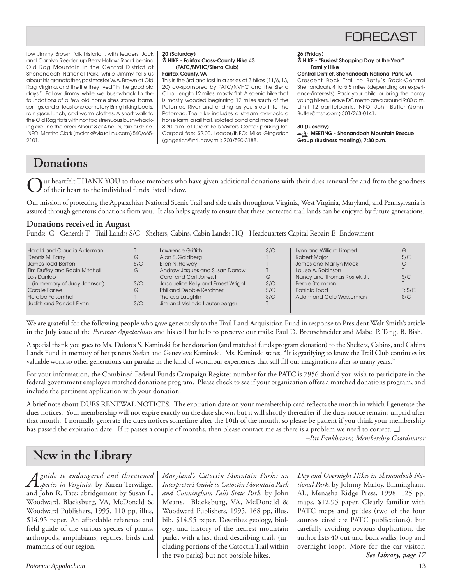## FORECAST

low Jimmy Brown, folk historian, with leaders, Jack and Carolyn Reeder, up Berry Hollow Road behind Old Rag Mountain in the Central District of Shenandoah National Park, while Jimmy tells us about his grandfather, postmaster W.A. Brown of Old Rag, Virginia, and the life they lived "in the good old days." Follow Jimmy while we bushwhack to the foundations of a few old home sites, stores, barns, springs, and at least one cemetery. Bring hiking boots, rain gear, lunch, and warm clothes. A short walk to the Old Rag flats with not too strenuous bushwhacking around the area. About 3 or 4 hours, rain or shine. INFO: Martha Clark (mclark@visuallink.com) 540/665- 2101.

#### **20 (Saturday)** ` **HIKE - Fairfax Cross-County Hike #3 (PATC/NVHC/Sierra Club)**

**Fairfax County, VA**

This is the 3rd and last in a series of 3 hikes (11/6, 13, 20) co-sponsored by PATC/NVHC and the Sierra Club. Length 12 miles, mostly flat. A scenic hike that is mostly wooded beginning 12 miles south of the Potomac River and ending as you step into the Potomac. The hike includes a stream overlook, a horse farm, a rail trail, isolated pond and more. Meet 8:30 a.m. at Great Falls Visitors Center parking lot. Carpool fee: \$2.00. Leader/INFO: Mike Gingerich (gingerich@nrl. navy.mil) 703/590-3188.

#### **26 (Friday)**

#### ` **HIKE - "Busiest Shopping Day of the Year" Family Hike**

#### **Central District, Shenandoah National Park, VA**

Crescent Rock Trail to Betty's Rock-Central Shenandoah. 4 to 5.5 miles (depending on experience/interests). Pack your child or bring the hardy young hikers. Leave DC metro area around 9:00 a.m. Limit 12 participants. INFO: John Butler (John-Butler@msn.com) 301/263-0141.

#### **30 (Tuesday)**

**MEETING - Shenandoah Mountain Rescue Group (Business meeting), 7:30 p.m.**

## **Donations**

ur heartfelt THANK YOU to those members who have given additional donations with their dues renewal fee and from the goodness of their heart to the individual funds listed below.

Our mission of protecting the Appalachian National Scenic Trail and side trails throughout Virginia, West Virginia, Maryland, and Pennsylvania is assured through generous donations from you. It also helps greatly to ensure that these protected trail lands can be enjoyed by future generations.

## **Donations received in August**

Funds: G - General; T - Trail Lands; S/C - Shelters, Cabins, Cabin Lands; HQ - Headquarters Capital Repair; E -Endowment

| Harold and Claudia Alderman<br>Dennis M. Barry<br>G<br>James Todd Barton<br>S/C<br><b>Tim Duffey and Robin Mitchell</b><br>G<br>Lois Dunlop<br>S/C<br>(in memory of Judy Johnson)<br>Coralie Farlee<br>G<br><b>Floralee Felsenthal</b><br>Judith and Randall Flynn<br>S/C | Lawrence Griffith<br>Alan S. Goldberg<br>Ellen N. Holway<br>Andrew Jaques and Susan Darrow<br>Carol and Carl Jones, III<br>Jacqueline Kelly and Ernest Wright<br><b>Phil and Debbie Kerchner</b><br>Theresa Laughlin<br>Jim and Melinda Lautenberger | S/C<br>G<br>S/C<br>S/C<br>S/C | Lynn and William Limpert<br><b>Robert Major</b><br>James and Marilyn Meek<br>Louise A. Robinson<br>Nancy and Thomas Rostek, Jr.<br><b>Bernie Stalmann</b><br>Patricia Todd<br>Adam and Gale Wasserman | G<br>S/C<br>G<br>S/C<br>T: S/C<br>S/C |
|---------------------------------------------------------------------------------------------------------------------------------------------------------------------------------------------------------------------------------------------------------------------------|------------------------------------------------------------------------------------------------------------------------------------------------------------------------------------------------------------------------------------------------------|-------------------------------|-------------------------------------------------------------------------------------------------------------------------------------------------------------------------------------------------------|---------------------------------------|
|                                                                                                                                                                                                                                                                           |                                                                                                                                                                                                                                                      |                               |                                                                                                                                                                                                       |                                       |

We are grateful for the following people who gave generously to the Trail Land Acquisition Fund in response to President Walt Smith's article in the July issue of the *Potomac Appalachian* and his call for help to preserve our trails: Paul D. Brettschneider and Mabel P. Tang, B. Bish.

A special thank you goes to Ms. Dolores S. Kaminski for her donation (and matched funds program donation) to the Shelters, Cabins, and Cabins Lands Fund in memory of her parents Stefan and Genevieve Kaminski. Ms. Kaminski states, "It is gratifying to know the Trail Club continues its valuable work so other generations can partake in the kind of wondrous experiences that still fill our imaginations after so many years."

For your information, the Combined Federal Funds Campaign Register number for the PATC is 7956 should you wish to participate in the federal government employee matched donations program. Please check to see if your organization offers a matched donations program, and include the pertinent application with your donation.

A brief note about DUES RENEWAL NOTICES. The expiration date on your membership card reflects the month in which I generate the dues notices. Your membership will not expire exactly on the date shown, but it will shortly thereafter if the dues notice remains unpaid after that month. I normally generate the dues notices sometime after the 10th of the month, so please be patient if you think your membership has passed the expiration date. If it passes a couple of months, then please contact me as there is a problem we need to correct. ❑

*–Pat Fankhauser, Membership Coordinator*

## **New in the Library**

*Aguide to endangered and threatened species in Virginia,* by Karen Terwiliger and John R. Tate; abridgement by Susan L. Woodward. Blacksburg, VA, McDonald & Woodward Publishers, 1995. 110 pp, illus, \$14.95 paper. An affordable reference and field guide of the various species of plants, arthropods, amphibians, reptiles, birds and mammals of our region.

*Maryland's Catoctin Mountain Parks: an Interpreter's Guide to Catoctin Mountain Park and Cunningham Falls State Park,* by John Means. Blacksburg, VA, McDonald & Woodward Publishers, 1995. 168 pp, illus, bib. \$14.95 paper. Describes geology, biology, and history of the nearest mountain parks, with a last third describing trails (including portions of the Catoctin Trail within the two parks) but not possible hikes.

*Day and Overnight Hikes in Shenandoah National Park,* by Johnny Malloy. Birmingham, AL, Menasha Ridge Press, 1998. 125 pp, maps. \$12.95 paper. Clearly familiar with PATC maps and guides (two of the four sources cited are PATC publications), but carefully avoiding obvious duplication, the author lists 40 out-and-back walks, loop and overnight loops. More for the car visitor, *See Library, page 17*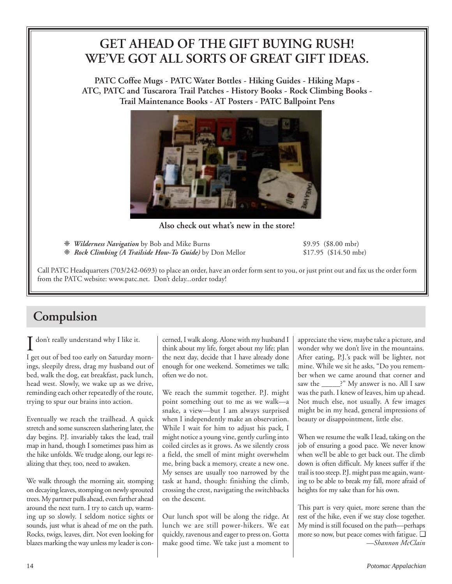## **GET AHEAD OF THE GIFT BUYING RUSH! WE'VE GOT ALL SORTS OF GREAT GIFT IDEAS.**

**PATC Coffee Mugs - PATC Water Bottles - Hiking Guides - Hiking Maps - ATC, PATC and Tuscarora Trail Patches - History Books - Rock Climbing Books - Trail Maintenance Books - AT Posters - PATC Ballpoint Pens**



**Also check out what's new in the store!**

❈ *Wilderness Navigation* by Bob and Mike Burns \$9.95 (\$8.00 mbr)

❈ *Rock Climbing (A Trailside How-To Guide)* by Don Mellor \$17.95 (\$14.50 mbr)

Call PATC Headquarters (703/242-0693) to place an order, have an order form sent to you, or just print out and fax us the order form from the PATC website: www.patc.net. Don't delay...order today!

## **Compulsion**

I don't really understand why I like it.<br>I get out of bed too early on Saturday morndon't really understand why I like it.

ings, sleepily dress, drag my husband out of bed, walk the dog, eat breakfast, pack lunch, head west. Slowly, we wake up as we drive, reminding each other repeatedly of the route, trying to spur our brains into action.

Eventually we reach the trailhead. A quick stretch and some sunscreen slathering later, the day begins. P.J. invariably takes the lead, trail map in hand, though I sometimes pass him as the hike unfolds. We trudge along, our legs realizing that they, too, need to awaken.

We walk through the morning air, stomping on decaying leaves, stomping on newly sprouted trees. My partner pulls ahead, even farther ahead around the next turn. I try to catch up, warming up so slowly. I seldom notice sights or sounds, just what is ahead of me on the path. Rocks, twigs, leaves, dirt. Not even looking for blazes marking the way unless my leader is concerned, I walk along. Alone with my husband I think about my life, forget about my life; plan the next day, decide that I have already done enough for one weekend. Sometimes we talk; often we do not.

We reach the summit together. P.J. might point something out to me as we walk—a snake, a view—but I am always surprised when I independently make an observation. While I wait for him to adjust his pack, I might notice a young vine, gently curling into coiled circles as it grows. As we silently cross a field, the smell of mint might overwhelm me, bring back a memory, create a new one. My senses are usually too narrowed by the task at hand, though: finishing the climb, crossing the crest, navigating the switchbacks on the descent.

Our lunch spot will be along the ridge. At lunch we are still power-hikers. We eat quickly, ravenous and eager to press on. Gotta make good time. We take just a moment to

appreciate the view, maybe take a picture, and wonder why we don't live in the mountains. After eating, P.J.'s pack will be lighter, not mine. While we sit he asks, "Do you remember when we came around that corner and saw the \_\_\_\_\_?" My answer is no. All I saw was the path. I knew of leaves, him up ahead. Not much else, not usually. A few images might be in my head, general impressions of beauty or disappointment, little else.

When we resume the walk I lead, taking on the job of ensuring a good pace. We never know when we'll be able to get back out. The climb down is often difficult. My knees suffer if the trail is too steep. P.J. might pass me again, wanting to be able to break my fall, more afraid of heights for my sake than for his own.

This part is very quiet, more serene than the rest of the hike, even if we stay close together. My mind is still focused on the path—perhaps more so now, but peace comes with fatigue. ❑ *—Shannon McClain*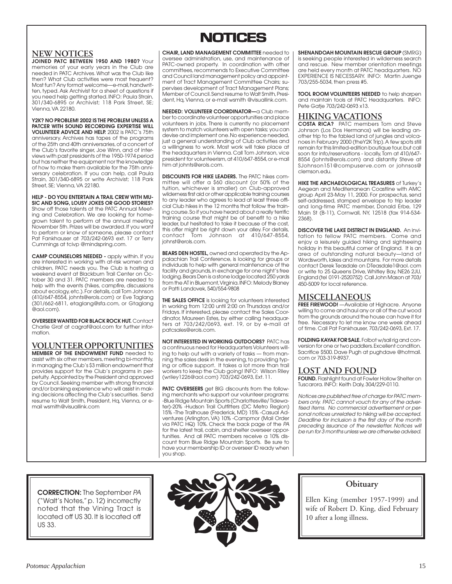## **NEW NOTICES**

**JOINED PATC BETWEEN 1950 AND 1980?** Your memories of your early years in the Club are needed in PATC Archives. What was the Club like then? What Club activities were most frequent? Most fun? Any format welcome—e-mail, handwritten, typed. Ask Archivist for a sheet of questions if you need help getting started. INFO: Paula Strain, 301/340-6895 or Archivist; 118 Park Street, SE; Vienna, VA 22180.

**Y2K? NO PROBLEM! 2002 IS THE PROBLEM UNLESS A PATCER WITH SOUND RECORDING EXPERTISE WILL VOLUNTEER ADVICE AND HELP.** 2002 is PATC's 75th anniversary. Archives has tapes of the programs of the 25th and 40th anniversaries, of a concert of the Club's favorite singer, Joe Winn, and of interviews with past presidents of the 1950-1974 period but has neither the equipment nor the knowledge of how to make them available for the 75th anniversary celebration. If you can help, call Paula Strain, 301/340-6895 or write Archivist; 118 Park Street, SE; Vienna, VA 22180.

**HELP - DO YOU ENTERTAIN A TRAIL CREW WITH MU-SIC AND SONG, LOUSY JOKES OR GOOD STORIES?** Show off those talents at the PATC Annual Meeting and Celebration. We are looking for homegrown talent to perform at the annual meeting November 5th. Prizes will be awarded. If you want to perform or know of someone, please contact Pat Fankhauser at 703/242-0693 ext. 17 or Terry Cummings at tcivp @mindspring.com.

**CAMP COUNSELORS NEEDED -** apply within. If you are interested in working with at-risk women and children, PATC needs you. The Club is hosting a weekend event at Blackburn Trail Center on October 30 and 31. PATC members are needed to help with the events (hikes, campfire, discussions about ecology, etc.). For details, call Tom Johnson (410/647-8554, johnts@erols.com) or Eve Taglang (301/662-6811, etaglang@sfa.com, or Gtaglang @aol.com).

**OVERSEER WANTED FOR BLACK ROCK HUT.** Contact Charlie Graf at cagraf@aol.com for further information.

**VOLUNTEER OPPORTUNITIES MEMBER OF THE ENDOWMENT FUND** needed to assist with six other members, meeting bi-monthly, in managing the Club's \$3 million endowment that provides support for the Club's programs in perpetuity. Appointed by the President and approved by Council. Seeking member with strong financial and/or banking experience who will assist in making decisions affecting the Club's securities. Send resume to Walt Smith, President, Hq, Vienna, or email wsmith@visuallink.com

## **NOTICES NOTICES**

**CHAIR, LAND MANAGEMENT COMMITTEE** needed to oversee administration, use, and maintenance of PATC-owned property. In coordination with other committees, recommends to Executive Committee and Council land management policy and appointment of Tract Management Committee Chairs; supervises development of Tract Management Plans; Member of Council. Send resume to Walt Smith, President, Hq, Vienna, or e-mail wsmith @visuallink.com.

**NEEDED: VOLUNTEER COORDINATOR—**a Club member to coordinate volunteer opportunities and place volunteers in jobs. There is currently no placement system to match volunteers with open tasks; you can devise and implement one. No experience needed, just a general understanding of Club activities and a willingness to work. Most work will take place at the headquarters in Vienna. Call Tom Johnson, vice president for volunteerism, at 410/647-8554, or e-mail him at johnts@erols.com.

**DISCOUNTS FOR HIKE LEADERS.** The PATC hikes committee will offer a \$60 discount (or 50% of the tuition, whichever is smaller) on Club-approved wilderness first aid or other applicable training courses to any leader who agrees to lead at least three official Club hikes in the 12 months that follow the training course. So if you have heard about a really terrific training course that might be of benefit to a hike leader, but hesitated to take it because of the cost, this offer might be right down your alley. For details, contact Tom Johnson at 410/647-8554, johnst@erols.com.

**BEARS DEN HOSTEL,** owned and operated by the Appalachian Trail Conference, is looking for groups or individuals to help with general maintenance of the facility and grounds, in exchange for one night's free lodging. Bears Den is a stone lodge located 250 yards from the AT in Bluemont, Virginia. INFO: Melody Blaney or Patti Landovek, 540/554-9808

**THE SALES OFFICE** is looking for volunteers interested in working from 12:00 until 2:00 on Thursdays and/or Fridays. If interested, please contact the Sales Coordinator, Maureen Estes, by either calling headquar-ters at 703/242/0693, ext. 19, or by e-mail at patcsales@erols.com.

**NOT INTERESTED IN WORKING OUTDOORS?** PATC has a continuous need for Headquarters Volunteers willing to help out with a variety of tasks — from manning the sales desk in the evening, to providing typing or office support. It takes a lot more than trail workers to keep the Club going! INFO: Wilson Riley (wriley1226@aol.com) 703/242-0693, Ext. 11.

**PATC OVERSEERS** get BIG discounts from the following merchants who support our volunteer programs: -Blue Ridge Mountain Sports (Charlottesville/ Tidewater)-20% -Hudson Trail Outfitters (DC Metro Region) 15% -The Trailhouse (Frederick, MD) 15% -Casual Adventures (Arlington, VA) 10% -Campmor (Mail Order via PATC HQ) 10%. Check the back page of the PA for the latest trail, cabin, and shelter overseer opportunities. And all PATC members receive a 10% discount from Blue Ridge Mountain Sports. Be sure to have your membership ID or overseer ID ready when you shop.

**SHENANDOAH MOUNTAIN RESCUE GROUP** (SMRG) is seeking people interested in wilderness search and rescue. New member orientation meetings are held every month at PATC headquarters. NO EXPERIENCE IS NECESSARY. INFO: Martin Juenge 703/255-5034, then press #5.

**TOOL ROOM VOLUNTEERS NEEDED** to help sharpen and maintain tools at PATC Headquarters. INFO: Pete Gatje 703/242-0693 x13.

## **HIKING VACATIONS**

**COSTA RICA?** PATC members Tom and Steve Johnson (Los Dos Hermanos) will be leading another trip to the fabled land of jungles and volcanoes in February 2000 (theY2K Trip). A few spots still remain for this limited-edition boutique tour, but call soon for info/reservations - locally, Tom at 410/647- 8554 (johnts@erols.com) and distantly Steve at SJohnson151@compuserve.com or johnsos@ clemson.edu.

**HIKE THE ARCHAEOLOGICAL TREASURES** of Turkey's Aegean and Mediterranean Coastline with AMC group April 23-May 11, 2000. For prospectus, send self-addressed, stamped envelope to trip leader and long-time PATC member, Donald Erbe, 129 Main St (B-11), Cornwall, NY, 12518 (fax 914-534- 2368).

**DISCOVER THE LAKE DISTRICT IN ENGLAND.** An invitation to fellow PATC members. Come and enjoy a leisurely guided hiking and sightseeing holiday in this beautiful corner of England. It is an area of outstanding natural beauty—land of Wordsworth, lakes and mountains. For more details contact Derek Teasdale on DTeasdale1@aol. com or write to 25 Queens Drive, Whitley Bay, NE26 2JU, England (tel 0191-2520752) Call John Mason at 703/ 450-5009 for local reference.

## **MISCELLANEOUS**

**FREE FIREWOOD!** —Available at Highacre. Anyone willing to come and haul any or all of the cut wood from the grounds around the house can have it for free. Necessary to let me know one week ahead of time. Call Pat Fankhauser, 703/242-0693, Ext. 17.

**FOLDING KAYAK FOR SALE.** Folbot w/sail rig and conversion for one or two paddlers. Excellent condition. Sacrifice \$500. Dave Pugh at pughdave @hotmail. com or 703-319-8937.

## **LOST AND FOUND**

**FOUND.** Flashlight found at Fowler Hollow Shelter on Tuscarora. INFO: Keith Daly, 304/229-0110.

Notices are published free of charge for PATC members only. PATC cannot vouch for any of the advertised items. No commercial advertisement or personal notices unrelated to hiking will be accepted. Deadline for inclusion is the first day of the month preceding issuance of the newsletter. Notices will be run for 3 months unless we are otherwise advised.

**CORRECTION:** The September PA ("Walt's Notes," p. 12) incorrectly noted that the Vining Tract is located off US 30. It is located off US 33.



## **Obituary**

Ellen King (member 1957-1999) and wife of Robert D. King, died February 10 after a long illness.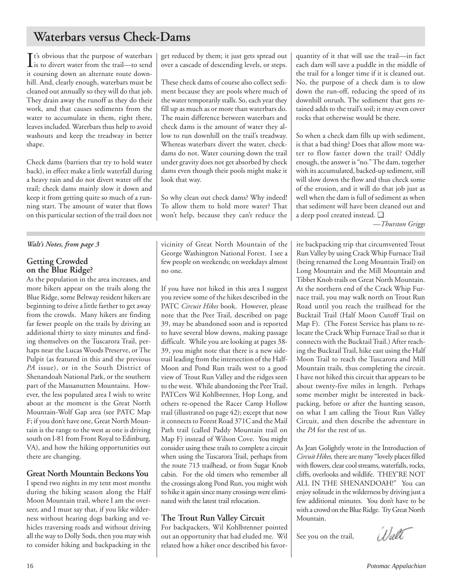## **Waterbars versus Check-Dams**

 $\prod$ <sup>t's</sup> obvious that the purpose of waterbars<br>is to divert water from the trail—to send is to divert water from the trail—to send it coursing down an alternate route downhill. And, clearly enough, waterbars must be cleaned out annually so they will do that job. They drain away the runoff as they do their work, and that causes sediments from the water to accumulate in them, right there, leaves included. Waterbars thus help to avoid washouts and keep the treadway in better shape.

Check dams (barriers that try to hold water back), in effect make a little waterfall during a heavy rain and do not divert water off the trail; check dams mainly slow it down and keep it from getting quite so much of a running start. The amount of water that flows on this particular section of the trail does not

## *Walt's Notes, from page 3*

## **Getting Crowded on the Blue Ridge?**

As the population in the area increases, and more hikers appear on the trails along the Blue Ridge, some Beltway resident hikers are beginning to drive a little farther to get away from the crowds. Many hikers are finding far fewer people on the trails by driving an additional thirty to sixty minutes and finding themselves on the Tuscarora Trail, perhaps near the Lucas Woods Preserve, or The Pulpit (as featured in this and the previous *PA* issue), or in the South District of Shenandoah National Park, or the southern part of the Massanutten Mountains. However, the less populated area I wish to write about at the moment is the Great North Mountain-Wolf Gap area (see PATC Map F; if you don't have one, Great North Mountain is the range to the west as one is driving south on I-81 from Front Royal to Edinburg, VA), and how the hiking opportunities out there are changing.

## **Great North Mountain Beckons You**

I spend two nights in my tent most months during the hiking season along the Half Moon Mountain trail, where I am the overseer, and I must say that, if you like wilderness without hearing dogs barking and vehicles traversing roads and without driving all the way to Dolly Sods, then you may wish to consider hiking and backpacking in the get reduced by them; it just gets spread out over a cascade of descending levels, or steps.

These check dams of course also collect sediment because they are pools where much of the water temporarily stalls. So, each year they fill up as much as or more than waterbars do. The main difference between waterbars and check dams is the amount of water they allow to run downhill on the trail's treadway. Whereas waterbars divert the water, checkdams do not. Water coursing down the trail under gravity does not get absorbed by check dams even though their pools might make it look that way.

So why clean out check dams? Why indeed! To allow them to hold more water? That won't help, because they can't reduce the

vicinity of Great North Mountain of the George Washington National Forest. I see a few people on weekends; on weekdays almost no one.

If you have not hiked in this area I suggest you review some of the hikes described in the PATC *Circuit Hikes* book. However, please note that the Peer Trail, described on page 39, may be abandoned soon and is reported to have several blow downs, making passage difficult. While you are looking at pages 38- 39, you might note that there is a new sidetrail leading from the intersection of the Half-Moon and Pond Run trails west to a good view of Trout Run Valley and the ridges seen to the west. While abandoning the Peer Trail, PATCers Wil Kohlbrenner, Hop Long, and others re-opened the Racer Camp Hollow trail (illustrated on page 42); except that now it connects to Forest Road 371C and the Mail Path trail (called Paddy Mountain trail on Map F) instead of Wilson Cove. You might consider using these trails to complete a circuit when using the Tuscarora Trail, perhaps from the route 713 trailhead, or from Sugar Knob cabin. For the old timers who remember all the crossings along Pond Run, you might wish to hike it again since many crossings were eliminated with the latest trail relocation.

## **The Trout Run Valley Circuit**

For backpackers, Wil Kohlbrenner pointed out an opportunity that had eluded me. Wil related how a hiker once described his favorquantity of it that will use the trail—in fact each dam will save a puddle in the middle of the trail for a longer time if it is cleaned out. No, the purpose of a check dam is to slow down the run-off, reducing the speed of its downhill onrush. The sediment that gets retained adds to the trail's soil; it may even cover rocks that otherwise would be there.

So when a check dam fills up with sediment, is that a bad thing? Does that allow more water to flow faster down the trail? Oddly enough, the answer is "no." The dam, together with its accumulated, backed-up sediment, still will slow down the flow and thus check some of the erosion, and it will do that job just as well when the dam is full of sediment as when that sediment will have been cleaned out and a deep pool created instead. ❑

*—Thurston Griggs*

ite backpacking trip that circumvented Trout Run Valley by using Crack Whip Furnace Trail (being renamed the Long Mountain Trail) on Long Mountain and the Mill Mountain and Tibbet Knob trails on Great North Mountain. At the northern end of the Crack Whip Furnace trail, you may walk north on Trout Run Road until you reach the trailhead for the Bucktail Trail (Half Moon Cutoff Trail on Map F). (The Forest Service has plans to relocate the Crack Whip Furnace Trail so that it connects with the Bucktail Trail.) After reaching the Bucktail Trail, hike east using the Half Moon Trail to reach the Tuscarora and Mill Mountain trails, thus completing the circuit. I have not hiked this circuit that appears to be about twenty-five miles in length. Perhaps some member might be interested in backpacking, before or after the hunting season, on what I am calling the Trout Run Valley Circuit, and then describe the adventure in the *PA* for the rest of us.

As Jean Golightly wrote in the Introduction of *Circuit Hikes,* there are many "lovely places filled with flowers, clear cool streams, waterfalls, rocks, cliffs, overlooks and wildlife. THEY'RE NOT ALL IN THE SHENANDOAH!" You can enjoy solitude in the wilderness by driving just a few additional minutes. You don't have to be with a crowd on the Blue Ridge. Try Great North Mountain.

See you on the trail,

Walt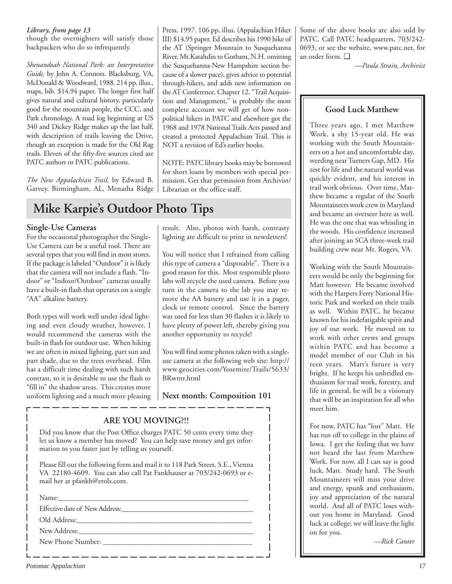## *Library, from page 13*

though the overnighters will satisfy those backpackers who do so infrequently.

*Shenandoah National Park: an Interpretative Guide,* by John A. Connors. Blacksburg, VA, McDonald & Woodward, 1988. 214 pp, illus., maps, bib. \$14.94 paper. The longer first half gives natural and cultural history, particularly good for the mountain people, the CCC, and Park chronology. A road log beginning at US 340 and Dickey Ridge makes up the last half, with description of trails leaving the Drive, though an exception is made for the Old Rag trails. Eleven of the fifty-five sources cited are PATC authors or PATC publications.

*The New Appalachian Trail,* by Edward B. Garvey. Birmingham, AL, Menasha Ridge

Press, 1997. 106 pp, illus. (Appalachian Hiker III) \$14.95 paper. Ed describes his 1990 hike of the AT (Springer Mountain to Susquehanna River, Mt.Katahdin to Gotham, N.H. omitting the Susquehanna-New Hampshire section because of a slower pace), gives advice to potential through-hikers, and adds new information on the AT Conference. Chapter 12, "Trail Acquisition and Management," is probably the most complete account we will get of how nonpolitical hikers in PATC and elsewhere got the 1968 and 1978 National Trails Acts passed and created a protected Appalachian Trail. This is NOT a revision of Ed's earlier books.

NOTE: PATC library books may be borrowed for short loans by members with special permission. Get that permission from Archivist/ Librarian or the office staff.

## **Mike Karpie's Outdoor Photo Tips**

## **Single-Use Cameras**

For the occasional photographer the Single-Use Camera can be a useful tool. There are several types that you will find in most stores. If the package is labeled "Outdoor" it is likely that the camera will not include a flash. "Indoor" or "Indoor/Outdoor" cameras usually have a built-in flash that operates on a single "AA" alkaline battery.

Both types will work well under ideal lighting and even cloudy weather, however, I would recommend the cameras with the built-in flash for outdoor use. When hiking we are often in mixed lighting, part sun and part shade, due to the trees overhead. Film has a difficult time dealing with such harsh contrast, so it is desirable to use the flash to "fill in" the shadow areas. This creates more uniform lighting and a much more pleasing result. Also, photos with harsh, contrasty lighting are difficult to print in newsletters!

You will notice that I refrained from calling this type of camera a "disposable". There is a good reason for this. Most responsible photo labs will recycle the used camera. Before you turn in the camera to the lab you may remove the AA battery and use it in a pager, clock or remote control. Since the battery was used for less than 30 flashes it is likely to have plenty of power left, thereby giving you another opportunity to recycle!

You will find some photos taken with a singleuse camera at the following web site: http:// www.geocities.com/Yosemite/Trails/5633/ BRwntr.html

## **Next month: Composition 101**

## **ARE YOU MOVING?!!**

Did you know that the Post Office charges PATC 50 cents every time they let us know a member has moved? You can help save money and get information to you faster just by telling us yourself.

Please fill out the following form and mail it to 118 Park Street, S.E., Vienna VA 22180-4609. You can also call Pat Fankhauser at 703/242-0693 or email her at pfankh@erols.com.

| New Phone Number: |
|-------------------|

Some of the above books are also sold by PATC. Call PATC headquarters, 703/242- 0693, or see the website, www.patc.net, for an order form. ❑

*—Paula Strain, Archivist*

## **Good Luck Matthew**

Three years ago, I met Matthew Work, a shy 15-year old. He was working with the South Mountaineers on a hot and uncomfortable day, weeding near Turners Gap, MD. His zest for life and the natural world was quickly evident, and his interest in trail work obvious. Over time, Matthew became a regular of the South Mountaineers work crew in Maryland and became an overseer here as well. He was the one that was whistling in the woods. His confidence increased after joining an SCA three-week trail building crew near Mt. Rogers, VA.

Working with the South Mountaineers would be only the beginning for Matt however. He became involved with the Harpers Ferry National Historic Park and worked on their trails as well. Within PATC, he became known for his indefatigable spirit and joy of our work. He moved on to work with other crews and groups within PATC and has become a model member of our Club in his teen years. Matt's future is very bright. If he keeps his unbridled enthusiasm for trail work, forestry, and life in general, he will be a visionary that will be an inspiration for all who meet him.

For now, PATC has "lost" Matt. He has run off to college in the plains of Iowa. I get the feeling that we have not heard the last from Matthew Work. For now, all I can say is good luck, Matt. Study hard. The South Mountaineers will miss your drive and energy, spunk and enthusiasm, joy and appreciation of the natural world. And all of PATC loses without you home in Maryland. Good luck at college; we will leave the light on for you.

*—Rick Canter*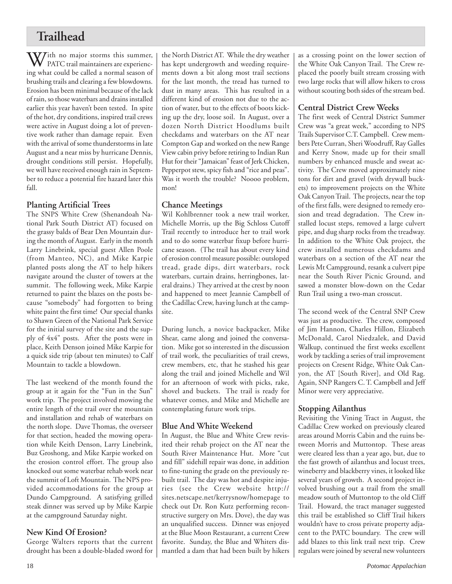## **Trailhead**

With no major storms this summer,<br>PATC trail maintainers are experiencing what could be called a normal season of brushing trails and clearing a few blowdowns. Erosion has been minimal because of the lack of rain, so those waterbars and drains installed earlier this year haven't been tested. In spite of the hot, dry conditions, inspired trail crews were active in August doing a lot of preventive work rather than damage repair. Even with the arrival of some thunderstorms in late August and a near miss by hurricane Dennis, drought conditions still persist. Hopefully, we will have received enough rain in September to reduce a potential fire hazard later this fall.

## **Planting Artificial Trees**

The SNPS White Crew (Shenandoah National Park South District AT) focused on the grassy balds of Bear Den Mountain during the month of August. Early in the month Larry Linebrink, special guest Allen Poole (from Manteo, NC), and Mike Karpie planted posts along the AT to help hikers navigate around the cluster of towers at the summit. The following week, Mike Karpie returned to paint the blazes on the posts because "somebody" had forgotten to bring white paint the first time! Our special thanks to Shawn Green of the National Park Service for the initial survey of the site and the supply of 4x4" posts. After the posts were in place, Keith Denson joined Mike Karpie for a quick side trip (about ten minutes) to Calf Mountain to tackle a blowdown.

The last weekend of the month found the group at it again for the "Fun in the Sun" work trip. The project involved mowing the entire length of the trail over the mountain and installation and rehab of waterbars on the north slope. Dave Thomas, the overseer for that section, headed the mowing operation while Keith Denson, Larry Linebrink, Buz Groshong, and Mike Karpie worked on the erosion control effort. The group also knocked out some waterbar rehab work near the summit of Loft Mountain. The NPS provided accommodations for the group at Dundo Campground. A satisfying grilled steak dinner was served up by Mike Karpie at the campground Saturday night.

## **New Kind Of Erosion?**

George Walters reports that the current drought has been a double-bladed sword for

the North District AT. While the dry weather has kept undergrowth and weeding requirements down a bit along most trail sections for the last month, the tread has turned to dust in many areas. This has resulted in a different kind of erosion not due to the action of water, but to the effects of boots kicking up the dry, loose soil. In August, over a dozen North District Hoodlums built checkdams and waterbars on the AT near Compton Gap and worked on the new Range View cabin privy before retiring to Indian Run Hut for their "Jamaican" feast of Jerk Chicken, Pepperpot stew, spicy fish and "rice and peas". Was it worth the trouble? Noooo problem, mon!

## **Chance Meetings**

Wil Kohlbrenner took a new trail worker, Michelle Morris, up the Big Schloss Cutoff Trail recently to introduce her to trail work and to do some waterbar fixup before hurricane season. (The trail has about every kind of erosion control measure possible: outsloped tread, grade dips, dirt waterbars, rock waterbars, curtain drains, herringbones, lateral drains.) They arrived at the crest by noon and happened to meet Jeannie Campbell of the Cadillac Crew, having lunch at the campsite.

During lunch, a novice backpacker, Mike Shear, came along and joined the conversation. Mike got so interested in the discussion of trail work, the peculiarities of trail crews, crew members, etc, that he stashed his gear along the trail and joined Michelle and Wil for an afternoon of work with picks, rake, shovel and buckets. The trail is ready for whatever comes, and Mike and Michelle are contemplating future work trips.

## **Blue And White Weekend**

In August, the Blue and White Crew revisited their rehab project on the AT near the South River Maintenance Hut. More "cut and fill" sidehill repair was done, in addition to fine-tuning the grade on the previously rebuilt trail. The day was hot and despite injuries (see the Crew website http:// sites.netscape.net/kerrysnow/homepage to check out Dr. Ron Kutz performing reconstructive surgery on Mrs. Dove), the day was an unqualified success. Dinner was enjoyed at the Blue Moon Restaurant, a current Crew favorite. Sunday, the Blue and Whiters dismantled a dam that had been built by hikers as a crossing point on the lower section of the White Oak Canyon Trail. The Crew replaced the poorly built stream crossing with two large rocks that will allow hikers to cross without scouting both sides of the stream bed.

## **Central District Crew Weeks**

The first week of Central District Summer Crew was "a great week," according to NPS Trails Supervisor C.T. Campbell. Crew members Pete Curran, Sheri Woodruff, Ray Galles and Kerry Snow, made up for their small numbers by enhanced muscle and sweat activity. The Crew moved approximately nine tons for dirt and gravel (with drywall buckets) to improvement projects on the White Oak Canyon Trail. The projects, near the top of the first falls, were designed to remedy erosion and tread degradation. The Crew installed locust steps, removed a large culvert pipe, and dug sharp rocks from the treadway. In addition to the White Oak project, the crew installed numerous checkdams and waterbars on a section of the AT near the Lewis Mt Campground, resank a culvert pipe near the South River Picnic Ground, and sawed a monster blow-down on the Cedar Run Trail using a two-man crosscut.

The second week of the Central SNP Crew was just as productive. The crew, composed of Jim Hannon, Charles Hillon, Elizabeth McDonald, Carol Niedzalek, and David Walkup, continued the first weeks excellent work by tackling a series of trail improvement projects on Cresent Ridge, White Oak Canyon, the AT [South River], and Old Rag. Again, SNP Rangers C. T. Campbell and Jeff Minor were very appreciative.

## **Stopping Ailanthus**

Revisiting the Vining Tract in August, the Cadillac Crew worked on previously cleared areas around Morris Cabin and the ruins between Morris and Muttontop. These areas were cleared less than a year ago, but, due to the fast growth of ailanthus and locust trees, wineberry and blackberry vines, it looked like several years of growth. A second project involved brushing out a trail from the small meadow south of Muttontop to the old Cliff Trail. Howard, the tract manager suggested this trail be established so Cliff Trail hikers wouldn't have to cross private property adjacent to the PATC boundary. The crew will add blazes to this link trail next trip. Crew regulars were joined by several new volunteers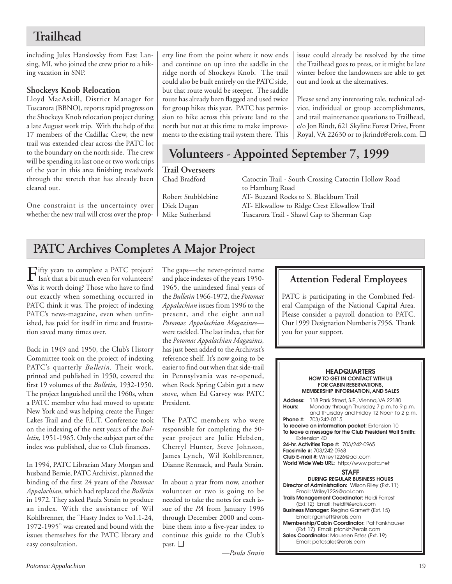## **Trailhead**

including Jules Hanslovsky from East Lansing, MI, who joined the crew prior to a hiking vacation in SNP.

## **Shockeys Knob Relocation**

Lloyd MacAskill, District Manager for Tuscarora (BBNO), reports rapid progress on the Shockeys Knob relocation project during a late August work trip. With the help of the 17 members of the Cadillac Crew, the new trail was extended clear across the PATC lot to the boundary on the north side. The crew will be spending its last one or two work trips of the year in this area finishing treadwork through the stretch that has already been cleared out.

One constraint is the uncertainty over whether the new trail will cross over the property line from the point where it now ends and continue on up into the saddle in the ridge north of Shockeys Knob. The trail could also be built entirely on the PATC side, but that route would be steeper. The saddle route has already been flagged and used twice for group hikes this year. PATC has permission to hike across this private land to the north but not at this time to make improvements to the existing trail system there. This issue could already be resolved by the time the Trailhead goes to press, or it might be late winter before the landowners are able to get out and look at the alternatives.

Please send any interesting tale, technical advice, individual or group accomplishments, and trail maintenance questions to Trailhead, c/o Jon Rindt, 621 Skyline Forest Drive, Front Royal, VA 22630 or to jkrindt@erols.com. ❑

## **Volunteers - Appointed September 7, 1999**

**Trail Overseers**

Catoctin Trail - South Crossing Catoctin Hollow Road to Hamburg Road Robert Stubblebine AT- Buzzard Rocks to S. Blackburn Trail Dick Dugan AT- Elkwallow to Ridge Crest Elkwallow Trail Mike Sutherland Tuscarora Trail - Shawl Gap to Sherman Gap

## **PATC Archives Completes A Major Project**

 $\prod_{\text{Isn't}}$  that a bit much even for volunteers? Was it worth doing? Those who have to find out exactly when something occurred in PATC think it was. The project of indexing PATC's news-magazine, even when unfinished, has paid for itself in time and frustration saved many times over.

Back in 1949 and 1950, the Club's History Committee took on the project of indexing PATC's quarterly *Bulletin.* Their work, printed and published in 1950, covered the first 19 volumes of the *Bulletin,* 1932-1950. The project languished until the 1960s, when a PATC member who had moved to upstate New York and was helping create the Finger Lakes Trail and the F.L.T. Conference took on the indexing of the next years of the *Bulletin,* 1951-1965. Only the subject part of the index was published, due to Club finances.

In 1994, PATC Librarian Mary Morgan and husband Bernie, PATC Archivist, planned the binding of the first 24 years of the *Potomac Appalachian,* which had replaced the *Bulletin* in 1972. They asked Paula Strain to produce an index. With the assistance of Wil Kohlbrenner, the "Hasty Index to Vo1.1-24, 1972-1995" was created and bound with the issues themselves for the PATC library and easy consultation.

The gaps—the never-printed name and place indexes of the years 1950- 1965, the unindexed final years of the *Bulletin* 1966-1972, the *Potomac Appalachian* issues from 1996 to the present, and the eight annual *Potomac Appalachian Magazines* were tackled. The last index, that for the *Potomac Appalachian Magazines,* has just been added to the Archivist's reference shelf. It's now going to be easier to find out when that side-trail in Pennsylvania was re-opened, when Rock Spring Cabin got a new stove, when Ed Garvey was PATC President.

The PATC members who were responsible for completing the 50 year project are Julie Hebden, Cherryl Hunter, Steve Johnson, James Lynch, Wil Kohlbrenner, Dianne Rennack, and Paula Strain.

In about a year from now, another volunteer or two is going to be needed to take the notes for each issue of the *PA* from January 1996 through December 2000 and combine them into a five-year index to continue this guide to the Club's past. ❑

*—Paula Strain*

## **Attention Federal Employees**

PATC is participating in the Combined Federal Campaign of the National Capital Area. Please consider a payroll donation to PATC. Our 1999 Designation Number is 7956. Thank you for your support.

#### **HEADQUARTERS HOW TO GET IN CONTACT WITH US FOR CABIN RESERVATIONS, MEMBERSHIP INFORMATION, AND SALES**

**Address:** 118 Park Street, S.E., Vienna, VA 22180 **Hours:** Monday through Thursday, 7 p.m. to 9 p.m. and Thursday and Friday 12 Noon to 2 p.m. **Phone #:** 703/242-0315 **To receive an information packet:** Extension 10 **To leave a message for the Club President Walt Smith:** Extension 40 **24-hr. Activities Tape #:** 703/242-0965 **Facsimile #:** 703/242-0968 **Club E-mail #:** Wriley1226@aol.com **World Wide Web URL:** http://www.patc.net **STAFF DURING REGULAR BUSINESS HOURS Director of Administration:** Wilson Riley (Ext. 11) Email: Wriley1226@aol.com **Trails Management Coordinator:** Heidi Forrest (Ext.12) Email: heidif@erols.com **Business Manager:** Regina Garnett (Ext. 15) Email: rgarnett@erols.com **Membership/Cabin Coordinator:** Pat Fankhauser (Ext. 17) Email: pfankh@erols.com

**Sales Coordinator:** Maureen Estes (Ext. 19) Email: patcsales@erols.com